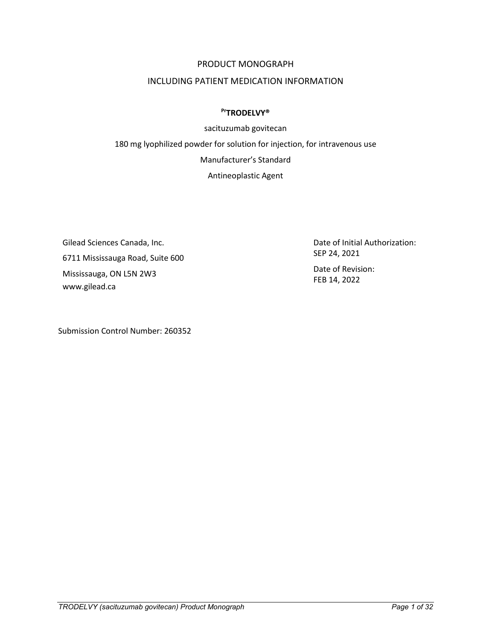### PRODUCT MONOGRAPH

### INCLUDING PATIENT MEDICATION INFORMATION

#### **PrTRODELVY®**

sacituzumab govitecan 180 mg lyophilized powder for solution for injection, for intravenous use Manufacturer's Standard Antineoplastic Agent

Gilead Sciences Canada, Inc. 6711 Mississauga Road, Suite 600 Mississauga, ON L5N 2W3 www.gilead.ca

Submission Control Number: 260352

Date of Initial Authorization: SEP 24, 2021 Date of Revision: FEB 14, 2022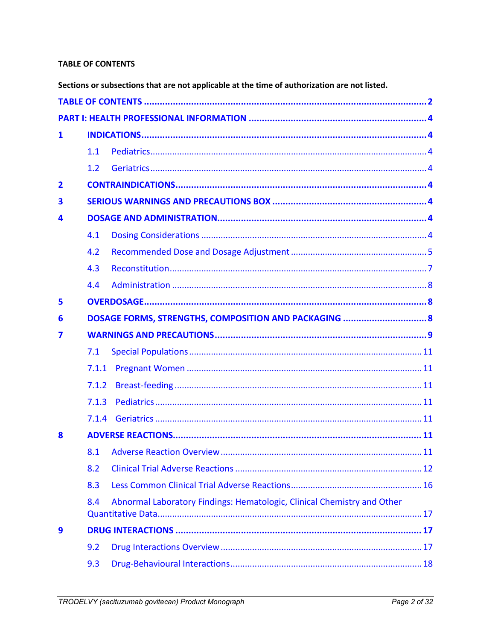### <span id="page-1-0"></span>**TABLE OF CONTENTS**

Sections or subsections that are not applicable at the time of authorization are not listed.

| 1                       |       |                                                                         |  |
|-------------------------|-------|-------------------------------------------------------------------------|--|
|                         | 1.1   |                                                                         |  |
|                         | 1.2   |                                                                         |  |
| $\overline{\mathbf{2}}$ |       |                                                                         |  |
| 3                       |       |                                                                         |  |
| 4                       |       |                                                                         |  |
|                         | 4.1   |                                                                         |  |
|                         | 4.2   |                                                                         |  |
|                         | 4.3   |                                                                         |  |
|                         | 4.4   |                                                                         |  |
| 5                       |       |                                                                         |  |
| 6                       |       | DOSAGE FORMS, STRENGTHS, COMPOSITION AND PACKAGING  8                   |  |
| 7                       |       |                                                                         |  |
|                         | 7.1   |                                                                         |  |
|                         | 7.1.1 |                                                                         |  |
|                         | 7.1.2 |                                                                         |  |
|                         | 7.1.3 |                                                                         |  |
|                         | 7.1.4 |                                                                         |  |
| 8                       |       |                                                                         |  |
|                         | 8.1   |                                                                         |  |
|                         | 8.2   |                                                                         |  |
|                         | 8.3   |                                                                         |  |
|                         | 8.4   | Abnormal Laboratory Findings: Hematologic, Clinical Chemistry and Other |  |
| 9                       |       |                                                                         |  |
|                         | 9.2   |                                                                         |  |
|                         | 9.3   |                                                                         |  |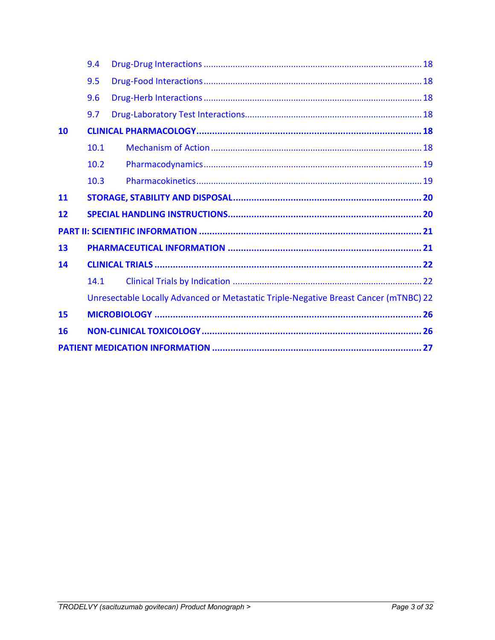|           | 9.4  |                                                                                      |
|-----------|------|--------------------------------------------------------------------------------------|
|           | 9.5  |                                                                                      |
|           | 9.6  |                                                                                      |
|           | 9.7  |                                                                                      |
| 10        |      |                                                                                      |
|           | 10.1 |                                                                                      |
|           | 10.2 |                                                                                      |
|           | 10.3 |                                                                                      |
| <b>11</b> |      |                                                                                      |
| 12        |      |                                                                                      |
|           |      |                                                                                      |
| 13        |      |                                                                                      |
| 14        |      |                                                                                      |
|           |      |                                                                                      |
|           | 14.1 |                                                                                      |
|           |      | Unresectable Locally Advanced or Metastatic Triple-Negative Breast Cancer (mTNBC) 22 |
| 15        |      |                                                                                      |
| 16        |      |                                                                                      |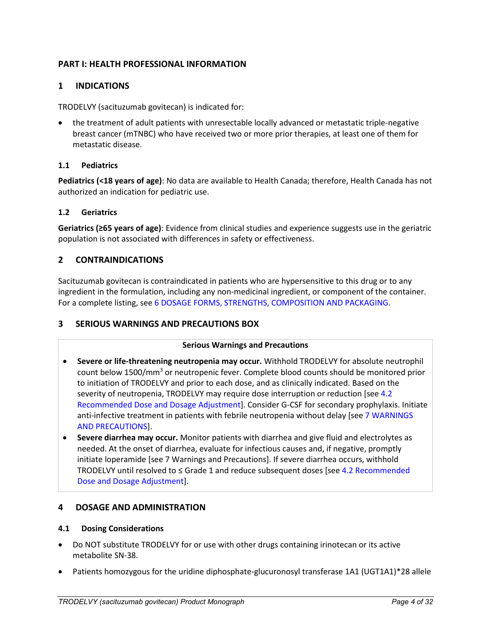## <span id="page-3-0"></span>**PART I: HEALTH PROFESSIONAL INFORMATION**

## <span id="page-3-1"></span>**1 INDICATIONS**

TRODELVY (sacituzumab govitecan) is indicated for:

• the treatment of adult patients with unresectable locally advanced or metastatic triple-negative breast cancer (mTNBC) who have received two or more prior therapies, at least one of them for metastatic disease.

### <span id="page-3-2"></span>**1.1 Pediatrics**

**Pediatrics (<18 years of age)**: No data are available to Health Canada; therefore, Health Canada has not authorized an indication for pediatric use.

#### <span id="page-3-3"></span>**1.2 Geriatrics**

**Geriatrics (≥65 years of age)**: Evidence from clinical studies and experience suggests use in the geriatric population is not associated with differences in safety or effectiveness.

## <span id="page-3-4"></span>**2 CONTRAINDICATIONS**

Sacituzumab govitecan is contraindicated in patients who are hypersensitive to this drug or to any ingredient in the formulation, including any non-medicinal ingredient, or component of the container. For a complete listing, see 6 DOSAGE FORMS, STRENGTHS, COMPOSITION AND PACKAGING.

### <span id="page-3-5"></span>**3 SERIOUS WARNINGS AND PRECAUTIONS BOX**

#### **Serious Warnings and Precautions**

- **Severe or life-threatening neutropenia may occur.** Withhold TRODELVY for absolute neutrophil count below 1500/mm<sup>3</sup> or neutropenic fever. Complete blood counts should be monitored prior to initiation of TRODELVY and prior to each dose, and as clinically indicated. Based on the severity of neutropenia, TRODELVY may require dose interruption or reduction [see 4.2 Recommended Dose and Dosage Adjustment]. Consider G-CSF for secondary prophylaxis. Initiate anti-infective treatment in patients with febrile neutropenia without delay [see 7 WARNINGS AND PRECAUTIONS].
- **Severe diarrhea may occur.** Monitor patients with diarrhea and give fluid and electrolytes as needed. At the onset of diarrhea, evaluate for infectious causes and, if negative, promptly initiate loperamide [see 7 Warnings and Precautions]. If severe diarrhea occurs, withhold TRODELVY until resolved to ≤ Grade 1 and reduce subsequent doses [see 4.2 Recommended Dose and Dosage Adjustment].

#### <span id="page-3-6"></span>**4 DOSAGE AND ADMINISTRATION**

#### <span id="page-3-7"></span>**4.1 Dosing Considerations**

- Do NOT substitute TRODELVY for or use with other drugs containing irinotecan or its active metabolite SN-38.
- Patients homozygous for the uridine diphosphate-glucuronosyl transferase 1A1 (UGT1A1)\*28 allele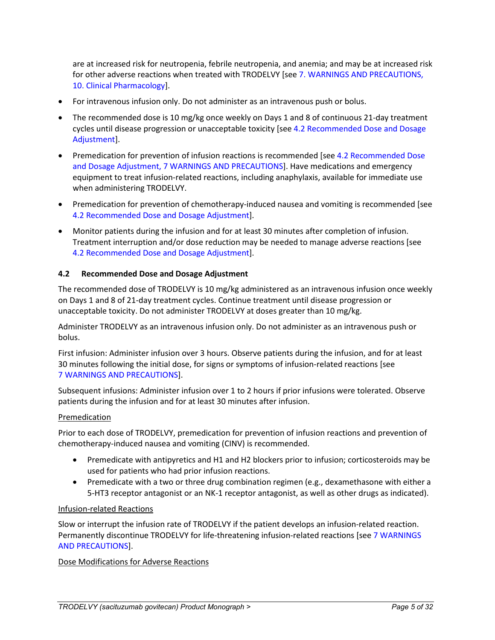are at increased risk for neutropenia, febrile neutropenia, and anemia; and may be at increased risk for other adverse reactions when treated with TRODELVY [see 7. WARNINGS AND PRECAUTIONS, 10. Clinical Pharmacology].

- For intravenous infusion only. Do not administer as an intravenous push or bolus.
- The recommended dose is 10 mg/kg once weekly on Days 1 and 8 of continuous 21-day treatment cycles until disease progression or unacceptable toxicity [see 4.2 Recommended Dose and Dosage Adjustment].
- Premedication for prevention of infusion reactions is recommended [see 4.2 Recommended Dose and Dosage Adjustment, 7 WARNINGS AND PRECAUTIONS]. Have medications and emergency equipment to treat infusion-related reactions, including anaphylaxis, available for immediate use when administering TRODELVY.
- Premedication for prevention of chemotherapy-induced nausea and vomiting is recommended [see 4.2 Recommended Dose and Dosage Adjustment].
- Monitor patients during the infusion and for at least 30 minutes after completion of infusion. Treatment interruption and/or dose reduction may be needed to manage adverse reactions [see 4.2 Recommended Dose and Dosage Adjustment].

#### <span id="page-4-0"></span>**4.2 Recommended Dose and Dosage Adjustment**

The recommended dose of TRODELVY is 10 mg/kg administered as an intravenous infusion once weekly on Days 1 and 8 of 21-day treatment cycles. Continue treatment until disease progression or unacceptable toxicity. Do not administer TRODELVY at doses greater than 10 mg/kg.

Administer TRODELVY as an intravenous infusion only. Do not administer as an intravenous push or bolus.

First infusion: Administer infusion over 3 hours. Observe patients during the infusion, and for at least 30 minutes following the initial dose, for signs or symptoms of infusion-related reactions [see 7 WARNINGS AND PRECAUTIONS].

Subsequent infusions: Administer infusion over 1 to 2 hours if prior infusions were tolerated. Observe patients during the infusion and for at least 30 minutes after infusion.

#### Premedication

Prior to each dose of TRODELVY, premedication for prevention of infusion reactions and prevention of chemotherapy-induced nausea and vomiting (CINV) is recommended.

- Premedicate with antipyretics and H1 and H2 blockers prior to infusion; corticosteroids may be used for patients who had prior infusion reactions.
- Premedicate with a two or three drug combination regimen (e.g., dexamethasone with either a 5-HT3 receptor antagonist or an NK-1 receptor antagonist, as well as other drugs as indicated).

#### Infusion-related Reactions

Slow or interrupt the infusion rate of TRODELVY if the patient develops an infusion-related reaction. Permanently discontinue TRODELVY for life-threatening infusion-related reactions [see 7 WARNINGS AND PRECAUTIONS].

#### Dose Modifications for Adverse Reactions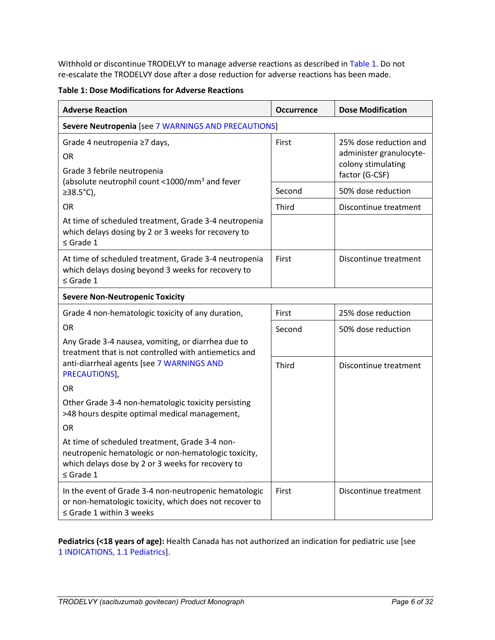Withhold or discontinue TRODELVY to manage adverse reactions as described in [Table 1.](#page-5-0) Do not re-escalate the TRODELVY dose after a dose reduction for adverse reactions has been made.

<span id="page-5-0"></span>**Table 1: Dose Modifications for Adverse Reactions**

| <b>Adverse Reaction</b>                                                                                                                                                       | <b>Occurrence</b> | <b>Dose Modification</b>                                                                  |
|-------------------------------------------------------------------------------------------------------------------------------------------------------------------------------|-------------------|-------------------------------------------------------------------------------------------|
| Severe Neutropenia [see 7 WARNINGS AND PRECAUTIONS]                                                                                                                           |                   |                                                                                           |
| Grade 4 neutropenia ≥7 days,<br>OR.<br>Grade 3 febrile neutropenia<br>(absolute neutrophil count <1000/mm <sup>3</sup> and fever                                              | First             | 25% dose reduction and<br>administer granulocyte-<br>colony stimulating<br>factor (G-CSF) |
| ≥38.5 $°C$ ),                                                                                                                                                                 | Second            | 50% dose reduction                                                                        |
| <b>OR</b>                                                                                                                                                                     | Third             | Discontinue treatment                                                                     |
| At time of scheduled treatment, Grade 3-4 neutropenia<br>which delays dosing by 2 or 3 weeks for recovery to<br>$\leq$ Grade 1                                                |                   |                                                                                           |
| At time of scheduled treatment, Grade 3-4 neutropenia<br>which delays dosing beyond 3 weeks for recovery to<br>$\leq$ Grade 1                                                 | First             | Discontinue treatment                                                                     |
| <b>Severe Non-Neutropenic Toxicity</b>                                                                                                                                        |                   |                                                                                           |
| Grade 4 non-hematologic toxicity of any duration,                                                                                                                             | First             | 25% dose reduction                                                                        |
| <b>OR</b>                                                                                                                                                                     | Second            | 50% dose reduction                                                                        |
| Any Grade 3-4 nausea, vomiting, or diarrhea due to<br>treatment that is not controlled with antiemetics and                                                                   |                   |                                                                                           |
| anti-diarrheal agents [see 7 WARNINGS AND<br>PRECAUTIONS],                                                                                                                    | Third             | Discontinue treatment                                                                     |
| <b>OR</b>                                                                                                                                                                     |                   |                                                                                           |
| Other Grade 3-4 non-hematologic toxicity persisting<br>>48 hours despite optimal medical management,                                                                          |                   |                                                                                           |
| <b>OR</b>                                                                                                                                                                     |                   |                                                                                           |
| At time of scheduled treatment, Grade 3-4 non-<br>neutropenic hematologic or non-hematologic toxicity,<br>which delays dose by 2 or 3 weeks for recovery to<br>$\leq$ Grade 1 |                   |                                                                                           |
| In the event of Grade 3-4 non-neutropenic hematologic<br>or non-hematologic toxicity, which does not recover to<br>$\leq$ Grade 1 within 3 weeks                              | First             | Discontinue treatment                                                                     |

**Pediatrics (<18 years of age):** Health Canada has not authorized an indication for pediatric use [see 1 INDICATIONS, 1.1 Pediatrics].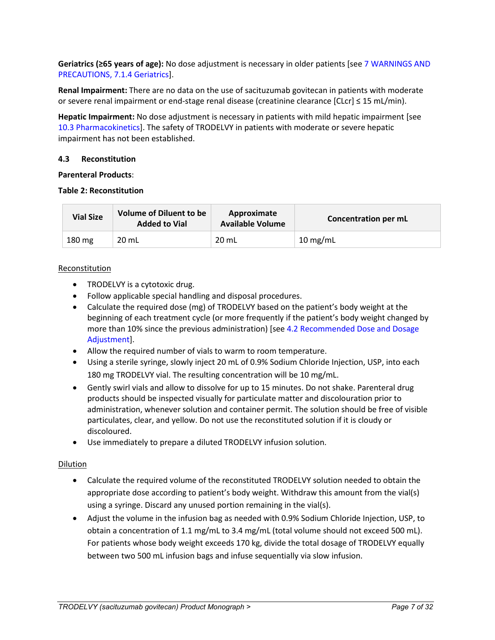**Geriatrics (≥65 years of age):** No dose adjustment is necessary in older patients [see 7 WARNINGS AND PRECAUTIONS, 7.1.4 Geriatrics].

**Renal Impairment:** There are no data on the use of sacituzumab govitecan in patients with moderate or severe renal impairment or end-stage renal disease (creatinine clearance [CLcr] ≤ 15 mL/min).

**Hepatic Impairment:** No dose adjustment is necessary in patients with mild hepatic impairment [see 10.3 Pharmacokinetics]. The safety of TRODELVY in patients with moderate or severe hepatic impairment has not been established.

### <span id="page-6-0"></span>**4.3 Reconstitution**

#### **Parenteral Products**:

#### **Table 2: Reconstitution**

| <b>Vial Size</b> | <b>Volume of Diluent to be</b><br><b>Added to Vial</b> | Approximate<br><b>Available Volume</b> | Concentration per mL |
|------------------|--------------------------------------------------------|----------------------------------------|----------------------|
| $180 \text{ mg}$ | 20 mL                                                  | $20$ mL                                | 10 mg/mL             |

### Reconstitution

- TRODELVY is a cytotoxic drug.
- Follow applicable special handling and disposal procedures.
- Calculate the required dose (mg) of TRODELVY based on the patient's body weight at the beginning of each treatment cycle (or more frequently if the patient's body weight changed by more than 10% since the previous administration) [see 4.2 Recommended Dose and Dosage Adjustment].
- Allow the required number of vials to warm to room temperature.
- Using a sterile syringe, slowly inject 20 mL of 0.9% Sodium Chloride Injection, USP, into each 180 mg TRODELVY vial. The resulting concentration will be 10 mg/mL.
- Gently swirl vials and allow to dissolve for up to 15 minutes. Do not shake. Parenteral drug products should be inspected visually for particulate matter and discolouration prior to administration, whenever solution and container permit. The solution should be free of visible particulates, clear, and yellow. Do not use the reconstituted solution if it is cloudy or discoloured.
- Use immediately to prepare a diluted TRODELVY infusion solution.

### Dilution

- Calculate the required volume of the reconstituted TRODELVY solution needed to obtain the appropriate dose according to patient's body weight. Withdraw this amount from the vial(s) using a syringe. Discard any unused portion remaining in the vial(s).
- Adjust the volume in the infusion bag as needed with 0.9% Sodium Chloride Injection, USP, to obtain a concentration of 1.1 mg/mL to 3.4 mg/mL (total volume should not exceed 500 mL). For patients whose body weight exceeds 170 kg, divide the total dosage of TRODELVY equally between two 500 mL infusion bags and infuse sequentially via slow infusion.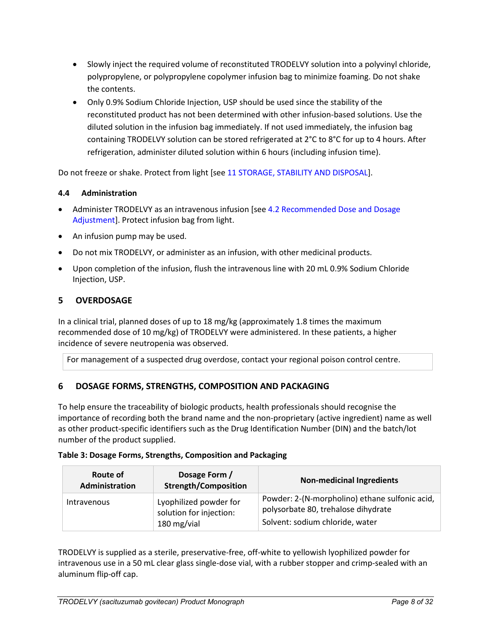- Slowly inject the required volume of reconstituted TRODELVY solution into a polyvinyl chloride, polypropylene, or polypropylene copolymer infusion bag to minimize foaming. Do not shake the contents.
- Only 0.9% Sodium Chloride Injection, USP should be used since the stability of the reconstituted product has not been determined with other infusion-based solutions. Use the diluted solution in the infusion bag immediately. If not used immediately, the infusion bag containing TRODELVY solution can be stored refrigerated at 2°C to 8°C for up to 4 hours. After refrigeration, administer diluted solution within 6 hours (including infusion time).

Do not freeze or shake. Protect from light [see 11 STORAGE, STABILITY AND DISPOSAL].

## <span id="page-7-0"></span>**4.4 Administration**

- Administer TRODELVY as an intravenous infusion [see 4.2 Recommended Dose and Dosage Adjustment]. Protect infusion bag from light.
- An infusion pump may be used.
- Do not mix TRODELVY, or administer as an infusion, with other medicinal products.
- Upon completion of the infusion, flush the intravenous line with 20 mL 0.9% Sodium Chloride Injection, USP.

# <span id="page-7-1"></span>**5 OVERDOSAGE**

In a clinical trial, planned doses of up to 18 mg/kg (approximately 1.8 times the maximum recommended dose of 10 mg/kg) of TRODELVY were administered. In these patients, a higher incidence of severe neutropenia was observed.

For management of a suspected drug overdose, contact your regional poison control centre.

# <span id="page-7-2"></span>**6 DOSAGE FORMS, STRENGTHS, COMPOSITION AND PACKAGING**

To help ensure the traceability of biologic products, health professionals should recognise the importance of recording both the brand name and the non-proprietary (active ingredient) name as well as other product-specific identifiers such as the Drug Identification Number (DIN) and the batch/lot number of the product supplied.

|  | Table 3: Dosage Forms, Strengths, Composition and Packaging |  |  |  |
|--|-------------------------------------------------------------|--|--|--|
|--|-------------------------------------------------------------|--|--|--|

| Route of<br>Administration | Dosage Form /<br><b>Strength/Composition</b>                     | <b>Non-medicinal Ingredients</b>                                                                                         |
|----------------------------|------------------------------------------------------------------|--------------------------------------------------------------------------------------------------------------------------|
| <b>Intravenous</b>         | Lyophilized powder for<br>solution for injection:<br>180 mg/vial | Powder: 2-(N-morpholino) ethane sulfonic acid,<br>polysorbate 80, trehalose dihydrate<br>Solvent: sodium chloride, water |

TRODELVY is supplied as a sterile, preservative-free, off-white to yellowish lyophilized powder for intravenous use in a 50 mL clear glass single-dose vial, with a rubber stopper and crimp-sealed with an aluminum flip-off cap.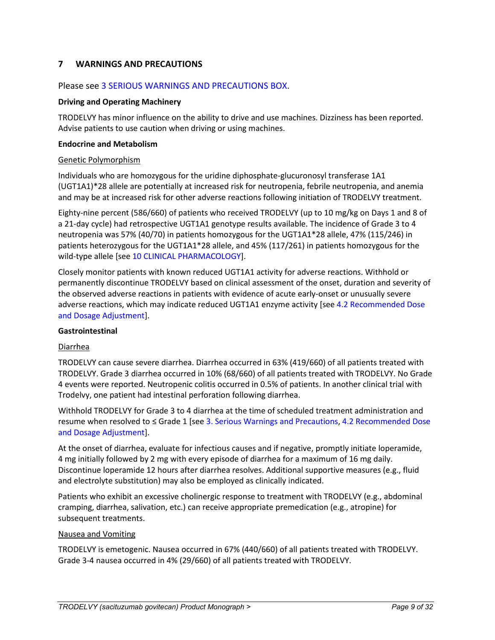## <span id="page-8-0"></span>**7 WARNINGS AND PRECAUTIONS**

### Please see 3 SERIOUS WARNINGS AND PRECAUTIONS BOX.

#### **Driving and Operating Machinery**

TRODELVY has minor influence on the ability to drive and use machines. Dizziness has been reported. Advise patients to use caution when driving or using machines.

#### **Endocrine and Metabolism**

#### Genetic Polymorphism

Individuals who are homozygous for the uridine diphosphate-glucuronosyl transferase 1A1 (UGT1A1)\*28 allele are potentially at increased risk for neutropenia, febrile neutropenia, and anemia and may be at increased risk for other adverse reactions following initiation of TRODELVY treatment.

Eighty-nine percent (586/660) of patients who received TRODELVY (up to 10 mg/kg on Days 1 and 8 of a 21-day cycle) had retrospective UGT1A1 genotype results available. The incidence of Grade 3 to 4 neutropenia was 57% (40/70) in patients homozygous for the UGT1A1\*28 allele, 47% (115/246) in patients heterozygous for the UGT1A1\*28 allele, and 45% (117/261) in patients homozygous for the wild-type allele [see 10 CLINICAL PHARMACOLOGY].

Closely monitor patients with known reduced UGT1A1 activity for adverse reactions. Withhold or permanently discontinue TRODELVY based on clinical assessment of the onset, duration and severity of the observed adverse reactions in patients with evidence of acute early-onset or unusually severe adverse reactions, which may indicate reduced UGT1A1 enzyme activity [see 4.2 Recommended Dose and Dosage Adjustment].

#### **Gastrointestinal**

#### Diarrhea

TRODELVY can cause severe diarrhea. Diarrhea occurred in 63% (419/660) of all patients treated with TRODELVY. Grade 3 diarrhea occurred in 10% (68/660) of all patients treated with TRODELVY. No Grade 4 events were reported. Neutropenic colitis occurred in 0.5% of patients. In another clinical trial with Trodelvy, one patient had intestinal perforation following diarrhea.

Withhold TRODELVY for Grade 3 to 4 diarrhea at the time of scheduled treatment administration and resume when resolved to ≤ Grade 1 [see 3. Serious Warnings and Precautions, 4.2 Recommended Dose and Dosage Adjustment].

At the onset of diarrhea, evaluate for infectious causes and if negative, promptly initiate loperamide, 4 mg initially followed by 2 mg with every episode of diarrhea for a maximum of 16 mg daily. Discontinue loperamide 12 hours after diarrhea resolves. Additional supportive measures (e.g., fluid and electrolyte substitution) may also be employed as clinically indicated.

Patients who exhibit an excessive cholinergic response to treatment with TRODELVY (e.g., abdominal cramping, diarrhea, salivation, etc.) can receive appropriate premedication (e.g., atropine) for subsequent treatments.

#### Nausea and Vomiting

TRODELVY is emetogenic. Nausea occurred in 67% (440/660) of all patients treated with TRODELVY. Grade 3-4 nausea occurred in 4% (29/660) of all patients treated with TRODELVY.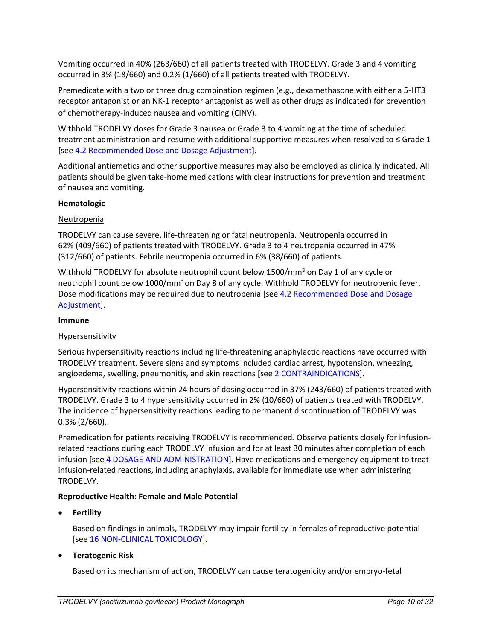Vomiting occurred in 40% (263/660) of all patients treated with TRODELVY. Grade 3 and 4 vomiting occurred in 3% (18/660) and 0.2% (1/660) of all patients treated with TRODELVY.

Premedicate with a two or three drug combination regimen (e.g., dexamethasone with either a 5-HT3 receptor antagonist or an NK-1 receptor antagonist as well as other drugs as indicated) for prevention of chemotherapy-induced nausea and vomiting (CINV).

Withhold TRODELVY doses for Grade 3 nausea or Grade 3 to 4 vomiting at the time of scheduled treatment administration and resume with additional supportive measures when resolved to ≤ Grade 1 [see 4.2 Recommended Dose and Dosage Adjustment].

Additional antiemetics and other supportive measures may also be employed as clinically indicated. All patients should be given take-home medications with clear instructions for prevention and treatment of nausea and vomiting.

#### **Hematologic**

### Neutropenia

TRODELVY can cause severe, life-threatening or fatal neutropenia. Neutropenia occurred in 62% (409/660) of patients treated with TRODELVY. Grade 3 to 4 neutropenia occurred in 47% (312/660) of patients. Febrile neutropenia occurred in 6% (38/660) of patients.

Withhold TRODELVY for absolute neutrophil count below  $1500/mm<sup>3</sup>$  on Day 1 of any cycle or neutrophil count below 1000/mm<sup>3</sup> on Day 8 of any cycle. Withhold TRODELVY for neutropenic fever. Dose modifications may be required due to neutropenia [see 4.2 Recommended Dose and Dosage Adjustment].

#### **Immune**

#### Hypersensitivity

Serious hypersensitivity reactions including life-threatening anaphylactic reactions have occurred with TRODELVY treatment. Severe signs and symptoms included cardiac arrest, hypotension, wheezing, angioedema, swelling, pneumonitis, and skin reactions [see 2 CONTRAINDICATIONS].

Hypersensitivity reactions within 24 hours of dosing occurred in 37% (243/660) of patients treated with TRODELVY. Grade 3 to 4 hypersensitivity occurred in 2% (10/660) of patients treated with TRODELVY. The incidence of hypersensitivity reactions leading to permanent discontinuation of TRODELVY was 0.3% (2/660).

Premedication for patients receiving TRODELVY is recommended*.* Observe patients closely for infusionrelated reactions during each TRODELVY infusion and for at least 30 minutes after completion of each infusion [see 4 DOSAGE AND ADMINISTRATION]. Have medications and emergency equipment to treat infusion-related reactions, including anaphylaxis, available for immediate use when administering TRODELVY.

#### **Reproductive Health: Female and Male Potential**

• **Fertility**

Based on findings in animals, TRODELVY may impair fertility in females of reproductive potential [see 16 NON-CLINICAL TOXICOLOGY].

### • **Teratogenic Risk**

Based on its mechanism of action, TRODELVY can cause teratogenicity and/or embryo-fetal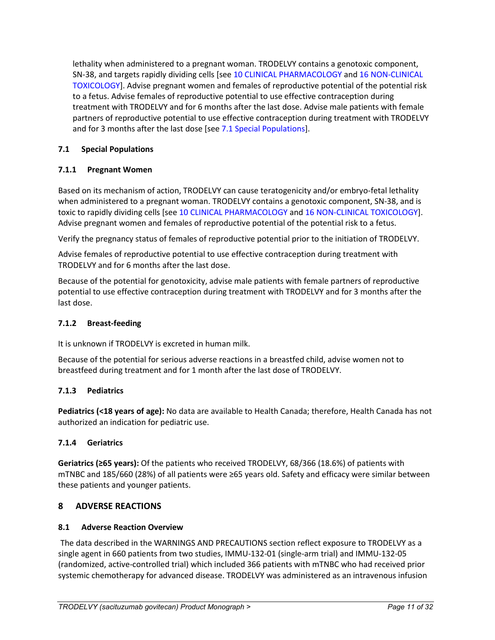lethality when administered to a pregnant woman. TRODELVY contains a genotoxic component, SN-38, and targets rapidly dividing cells [see 10 CLINICAL PHARMACOLOGY and 16 NON-CLINICAL TOXICOLOGY]. Advise pregnant women and females of reproductive potential of the potential risk to a fetus. Advise females of reproductive potential to use effective contraception during treatment with TRODELVY and for 6 months after the last dose. Advise male patients with female partners of reproductive potential to use effective contraception during treatment with TRODELVY and for 3 months after the last dose [see 7.1 Special Populations].

## <span id="page-10-0"></span>**7.1 Special Populations**

### <span id="page-10-1"></span>**7.1.1 Pregnant Women**

Based on its mechanism of action, TRODELVY can cause teratogenicity and/or embryo-fetal lethality when administered to a pregnant woman. TRODELVY contains a genotoxic component, SN-38, and is toxic to rapidly dividing cells [see 10 CLINICAL PHARMACOLOGY and 16 NON-CLINICAL TOXICOLOGY]. Advise pregnant women and females of reproductive potential of the potential risk to a fetus.

Verify the pregnancy status of females of reproductive potential prior to the initiation of TRODELVY.

Advise females of reproductive potential to use effective contraception during treatment with TRODELVY and for 6 months after the last dose.

Because of the potential for genotoxicity, advise male patients with female partners of reproductive potential to use effective contraception during treatment with TRODELVY and for 3 months after the last dose.

### <span id="page-10-2"></span>**7.1.2 Breast-feeding**

It is unknown if TRODELVY is excreted in human milk.

Because of the potential for serious adverse reactions in a breastfed child, advise women not to breastfeed during treatment and for 1 month after the last dose of TRODELVY.

### <span id="page-10-3"></span>**7.1.3 Pediatrics**

**Pediatrics (<18 years of age):** No data are available to Health Canada; therefore, Health Canada has not authorized an indication for pediatric use.

### <span id="page-10-4"></span>**7.1.4 Geriatrics**

**Geriatrics (≥65 years):** Of the patients who received TRODELVY, 68/366 (18.6%) of patients with mTNBC and 185/660 (28%) of all patients were ≥65 years old. Safety and efficacy were similar between these patients and younger patients.

### <span id="page-10-5"></span>**8 ADVERSE REACTIONS**

### <span id="page-10-6"></span>**8.1 Adverse Reaction Overview**

The data described in the WARNINGS AND PRECAUTIONS section reflect exposure to TRODELVY as a single agent in 660 patients from two studies, IMMU-132-01 (single-arm trial) and IMMU-132-05 (randomized, active-controlled trial) which included 366 patients with mTNBC who had received prior systemic chemotherapy for advanced disease. TRODELVY was administered as an intravenous infusion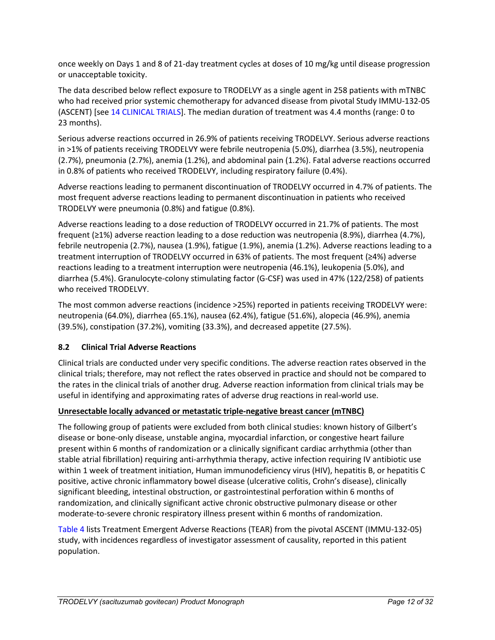once weekly on Days 1 and 8 of 21-day treatment cycles at doses of 10 mg/kg until disease progression or unacceptable toxicity.

The data described below reflect exposure to TRODELVY as a single agent in 258 patients with mTNBC who had received prior systemic chemotherapy for advanced disease from pivotal Study IMMU-132-05 (ASCENT) [see 14 CLINICAL TRIALS]. The median duration of treatment was 4.4 months (range: 0 to 23 months).

Serious adverse reactions occurred in 26.9% of patients receiving TRODELVY. Serious adverse reactions in >1% of patients receiving TRODELVY were febrile neutropenia (5.0%), diarrhea (3.5%), neutropenia (2.7%), pneumonia (2.7%), anemia (1.2%), and abdominal pain (1.2%). Fatal adverse reactions occurred in 0.8% of patients who received TRODELVY, including respiratory failure (0.4%).

Adverse reactions leading to permanent discontinuation of TRODELVY occurred in 4.7% of patients. The most frequent adverse reactions leading to permanent discontinuation in patients who received TRODELVY were pneumonia (0.8%) and fatigue (0.8%).

Adverse reactions leading to a dose reduction of TRODELVY occurred in 21.7% of patients. The most frequent (≥1%) adverse reaction leading to a dose reduction was neutropenia (8.9%), diarrhea (4.7%), febrile neutropenia (2.7%), nausea (1.9%), fatigue (1.9%), anemia (1.2%). Adverse reactions leading to a treatment interruption of TRODELVY occurred in 63% of patients. The most frequent (≥4%) adverse reactions leading to a treatment interruption were neutropenia (46.1%), leukopenia (5.0%), and diarrhea (5.4%). Granulocyte-colony stimulating factor (G-CSF) was used in 47% (122/258) of patients who received TRODELVY.

The most common adverse reactions (incidence >25%) reported in patients receiving TRODELVY were: neutropenia (64.0%), diarrhea (65.1%), nausea (62.4%), fatigue (51.6%), alopecia (46.9%), anemia (39.5%), constipation (37.2%), vomiting (33.3%), and decreased appetite (27.5%).

# <span id="page-11-0"></span>**8.2 Clinical Trial Adverse Reactions**

Clinical trials are conducted under very specific conditions. The adverse reaction rates observed in the clinical trials; therefore, may not reflect the rates observed in practice and should not be compared to the rates in the clinical trials of another drug. Adverse reaction information from clinical trials may be useful in identifying and approximating rates of adverse drug reactions in real-world use.

# **Unresectable locally advanced or metastatic triple-negative breast cancer (mTNBC)**

The following group of patients were excluded from both clinical studies: known history of Gilbert's disease or bone-only disease, unstable angina, myocardial infarction, or congestive heart failure present within 6 months of randomization or a clinically significant cardiac arrhythmia (other than stable atrial fibrillation) requiring anti-arrhythmia therapy, active infection requiring IV antibiotic use within 1 week of treatment initiation, Human immunodeficiency virus (HIV), hepatitis B, or hepatitis C positive, active chronic inflammatory bowel disease (ulcerative colitis, Crohn's disease), clinically significant bleeding, intestinal obstruction, or gastrointestinal perforation within 6 months of randomization, and clinically significant active chronic obstructive pulmonary disease or other moderate-to-severe chronic respiratory illness present within 6 months of randomization.

Table 4 lists Treatment Emergent Adverse Reactions (TEAR) from the pivotal ASCENT (IMMU-132-05) study, with incidences regardless of investigator assessment of causality, reported in this patient population.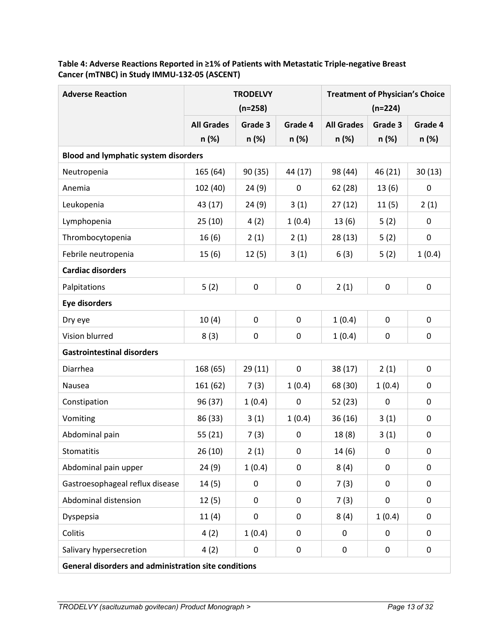| <b>Adverse Reaction</b>                              | <b>TRODELVY</b>                             |           |              | <b>Treatment of Physician's Choice</b> |                  |             |  |
|------------------------------------------------------|---------------------------------------------|-----------|--------------|----------------------------------------|------------------|-------------|--|
|                                                      |                                             | $(n=258)$ |              | $(n=224)$                              |                  |             |  |
|                                                      | <b>All Grades</b>                           | Grade 3   | Grade 4      | <b>All Grades</b>                      | Grade 3          | Grade 4     |  |
|                                                      | n (%)                                       | n (%)     | n (%)        | n (%)                                  | n (%)            | n (%)       |  |
|                                                      | <b>Blood and lymphatic system disorders</b> |           |              |                                        |                  |             |  |
| Neutropenia                                          | 165 (64)                                    | 90 (35)   | 44 (17)      | 98 (44)                                | 46 (21)          | 30(13)      |  |
| Anemia                                               | 102 (40)                                    | 24(9)     | 0            | 62 (28)                                | 13(6)            | $\pmb{0}$   |  |
| Leukopenia                                           | 43 (17)                                     | 24(9)     | 3(1)         | 27(12)                                 | 11(5)            | 2(1)        |  |
| Lymphopenia                                          | 25(10)                                      | 4(2)      | 1(0.4)       | 13(6)                                  | 5(2)             | 0           |  |
| Thrombocytopenia                                     | 16(6)                                       | 2(1)      | 2(1)         | 28(13)                                 | 5(2)             | $\pmb{0}$   |  |
| Febrile neutropenia                                  | 15(6)                                       | 12(5)     | 3(1)         | 6(3)                                   | 5(2)             | 1(0.4)      |  |
| <b>Cardiac disorders</b>                             |                                             |           |              |                                        |                  |             |  |
| Palpitations                                         | 5(2)                                        | $\pmb{0}$ | 0            | 2(1)                                   | $\boldsymbol{0}$ | 0           |  |
| <b>Eye disorders</b>                                 |                                             |           |              |                                        |                  |             |  |
| Dry eye                                              | 10(4)                                       | 0         | 0            | 1(0.4)                                 | 0                | 0           |  |
| Vision blurred                                       | 8(3)                                        | 0         | 0            | 1(0.4)                                 | 0                | 0           |  |
| <b>Gastrointestinal disorders</b>                    |                                             |           |              |                                        |                  |             |  |
| Diarrhea                                             | 168 (65)                                    | 29(11)    | 0            | 38(17)                                 | 2(1)             | 0           |  |
| Nausea                                               | 161 (62)                                    | 7(3)      | 1(0.4)       | 68 (30)                                | 1(0.4)           | $\pmb{0}$   |  |
| Constipation                                         | 96 (37)                                     | 1(0.4)    | 0            | 52 (23)                                | $\mathbf 0$      | 0           |  |
| Vomiting                                             | 86 (33)                                     | 3(1)      | 1(0.4)       | 36(16)                                 | 3(1)             | 0           |  |
| Abdominal pain                                       | 55 (21)                                     | 7(3)      | 0            | 18(8)                                  | 3(1)             | 0           |  |
| Stomatitis                                           | 26(10)                                      | 2(1)      | $\mathsf{O}$ | 14(6)                                  | $\mathbf 0$      | 0           |  |
| Abdominal pain upper                                 | 24(9)                                       | 1(0.4)    | 0            | 8(4)                                   | 0                | 0           |  |
| Gastroesophageal reflux disease                      | 14(5)                                       | 0         | 0            | 7(3)                                   | 0                | $\mathbf 0$ |  |
| Abdominal distension                                 | 12(5)                                       | 0         | 0            | 7(3)                                   | 0                | 0           |  |
| Dyspepsia                                            | 11(4)                                       | 0         | 0            | 8(4)                                   | 1(0.4)           | 0           |  |
| Colitis                                              | 4(2)                                        | 1(0.4)    | 0            | $\pmb{0}$                              | 0                | 0           |  |
| Salivary hypersecretion                              | 4(2)                                        | 0         | 0            | 0                                      | 0                | 0           |  |
| General disorders and administration site conditions |                                             |           |              |                                        |                  |             |  |

# **Table 4: Adverse Reactions Reported in ≥1% of Patients with Metastatic Triple-negative Breast Cancer (mTNBC) in Study IMMU-132-05 (ASCENT)**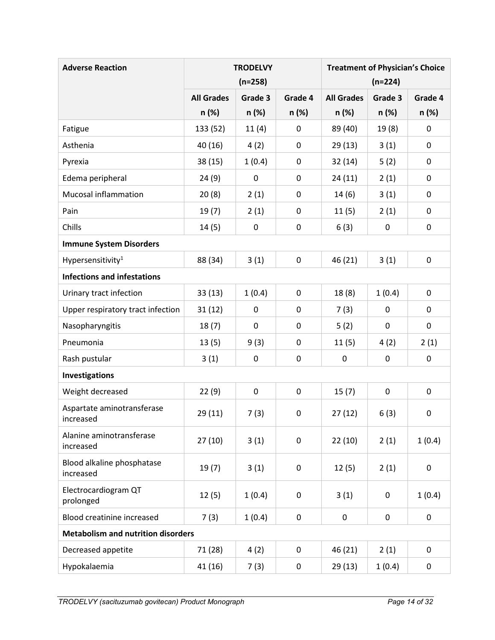| <b>Adverse Reaction</b>                   |                   | <b>TRODELVY</b> |             | <b>Treatment of Physician's Choice</b> |         |           |
|-------------------------------------------|-------------------|-----------------|-------------|----------------------------------------|---------|-----------|
|                                           |                   | $(n=258)$       |             | $(n=224)$                              |         |           |
|                                           | <b>All Grades</b> | Grade 3         | Grade 4     | <b>All Grades</b>                      | Grade 3 | Grade 4   |
|                                           | n (%)             | n (%)           | n (%)       | n (%)                                  | n(%)    | n (%)     |
| Fatigue                                   | 133 (52)          | 11(4)           | 0           | 89 (40)                                | 19(8)   | 0         |
| Asthenia                                  | 40 (16)           | 4(2)            | 0           | 29(13)                                 | 3(1)    | 0         |
| Pyrexia                                   | 38 (15)           | 1(0.4)          | 0           | 32(14)                                 | 5(2)    | 0         |
| Edema peripheral                          | 24(9)             | 0               | 0           | 24(11)                                 | 2(1)    | 0         |
| <b>Mucosal inflammation</b>               | 20(8)             | 2(1)            | 0           | 14(6)                                  | 3(1)    | 0         |
| Pain                                      | 19(7)             | 2(1)            | 0           | 11(5)                                  | 2(1)    | 0         |
| Chills                                    | 14(5)             | 0               | 0           | 6(3)                                   | 0       | 0         |
| <b>Immune System Disorders</b>            |                   |                 |             |                                        |         |           |
| Hypersensitivity <sup>1</sup>             | 88 (34)           | 3(1)            | 0           | 46 (21)                                | 3(1)    | 0         |
| <b>Infections and infestations</b>        |                   |                 |             |                                        |         |           |
| Urinary tract infection                   | 33(13)            | 1(0.4)          | $\mathbf 0$ | 18(8)                                  | 1(0.4)  | 0         |
| Upper respiratory tract infection         | 31(12)            | 0               | 0           | 7(3)                                   | 0       | 0         |
| Nasopharyngitis                           | 18(7)             | 0               | 0           | 5(2)                                   | 0       | 0         |
| Pneumonia                                 | 13(5)             | 9(3)            | 0           | 11(5)                                  | 4(2)    | 2(1)      |
| Rash pustular                             | 3(1)              | 0               | 0           | $\pmb{0}$                              | 0       | 0         |
| Investigations                            |                   |                 |             |                                        |         |           |
| Weight decreased                          | 22(9)             | 0               | 0           | 15(7)                                  | 0       | 0         |
| Aspartate aminotransferase<br>increased   | 29(11)            | 7(3)            | 0           | 27(12)                                 | 6(3)    | 0         |
| Alanine aminotransferase<br>increased     | 27(10)            | 3(1)            | 0           | 22(10)                                 | 2(1)    | 1(0.4)    |
| Blood alkaline phosphatase<br>increased   | 19(7)             | 3(1)            | 0           | 12(5)                                  | 2(1)    | $\pmb{0}$ |
| Electrocardiogram QT<br>prolonged         | 12(5)             | 1(0.4)          | 0           | 3(1)                                   | 0       | 1(0.4)    |
| <b>Blood creatinine increased</b>         | 7(3)              | 1(0.4)          | 0           | 0                                      | 0       | 0         |
| <b>Metabolism and nutrition disorders</b> |                   |                 |             |                                        |         |           |
| Decreased appetite                        | 71 (28)           | 4(2)            | 0           | 46 (21)                                | 2(1)    | 0         |
| Hypokalaemia                              | 41 (16)           | 7(3)            | 0           | 29(13)                                 | 1(0.4)  | 0         |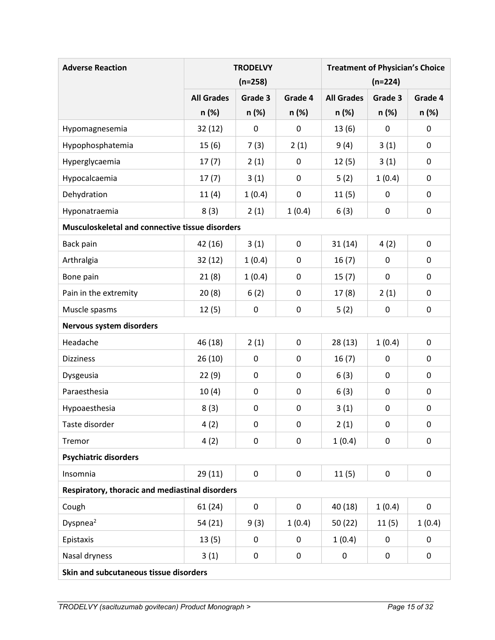| <b>Adverse Reaction</b>                         |                   | <b>TRODELVY</b> |             | <b>Treatment of Physician's Choice</b> |                  |           |
|-------------------------------------------------|-------------------|-----------------|-------------|----------------------------------------|------------------|-----------|
|                                                 |                   | $(n=258)$       |             | $(n=224)$                              |                  |           |
|                                                 | <b>All Grades</b> | Grade 3         | Grade 4     | <b>All Grades</b>                      | Grade 3          | Grade 4   |
|                                                 | n (%)             | n (%)           | n (%)       | n (%)                                  | n(%)             | n (%)     |
| Hypomagnesemia                                  | 32(12)            | 0               | $\mathbf 0$ | 13(6)                                  | 0                | 0         |
| Hypophosphatemia                                | 15(6)             | 7(3)            | 2(1)        | 9(4)                                   | 3(1)             | 0         |
| Hyperglycaemia                                  | 17(7)             | 2(1)            | 0           | 12(5)                                  | 3(1)             | 0         |
| Hypocalcaemia                                   | 17(7)             | 3(1)            | $\mathbf 0$ | 5(2)                                   | 1(0.4)           | 0         |
| Dehydration                                     | 11(4)             | 1(0.4)          | 0           | 11(5)                                  | 0                | 0         |
| Hyponatraemia                                   | 8(3)              | 2(1)            | 1(0.4)      | 6(3)                                   | 0                | 0         |
| Musculoskeletal and connective tissue disorders |                   |                 |             |                                        |                  |           |
| Back pain                                       | 42 (16)           | 3(1)            | $\mathbf 0$ | 31(14)                                 | 4(2)             | 0         |
| Arthralgia                                      | 32(12)            | 1(0.4)          | 0           | 16(7)                                  | 0                | 0         |
| Bone pain                                       | 21(8)             | 1(0.4)          | 0           | 15(7)                                  | 0                | 0         |
| Pain in the extremity                           | 20(8)             | 6(2)            | 0           | 17(8)                                  | 2(1)             | 0         |
| Muscle spasms                                   | 12(5)             | 0               | $\pmb{0}$   | 5(2)                                   | 0                | 0         |
| Nervous system disorders                        |                   |                 |             |                                        |                  |           |
| Headache                                        | 46 (18)           | 2(1)            | 0           | 28(13)                                 | 1(0.4)           | 0         |
| <b>Dizziness</b>                                | 26(10)            | 0               | 0           | 16(7)                                  | $\mathbf 0$      | 0         |
| Dysgeusia                                       | 22(9)             | 0               | 0           | 6(3)                                   | 0                | 0         |
| Paraesthesia                                    | 10(4)             | 0               | $\pmb{0}$   | 6(3)                                   | $\mathbf 0$      | 0         |
| Hypoaesthesia                                   | 8(3)              | 0               | 0           | 3(1)                                   | 0                | 0         |
| Taste disorder                                  | 4 (2)             | 0               | 0           | 2(1)                                   | 0                | 0         |
| Tremor                                          | 4(2)              | 0               | 0           | 1(0.4)                                 | $\pmb{0}$        | 0         |
| <b>Psychiatric disorders</b>                    |                   |                 |             |                                        |                  |           |
| Insomnia                                        | 29(11)            | 0               | $\mathbf 0$ | 11(5)                                  | $\pmb{0}$        | 0         |
| Respiratory, thoracic and mediastinal disorders |                   |                 |             |                                        |                  |           |
| Cough                                           | 61(24)            | 0               | 0           | 40 (18)                                | 1(0.4)           | $\pmb{0}$ |
| Dyspnea <sup>2</sup>                            | 54 (21)           | 9(3)            | 1(0.4)      | 50(22)                                 | 11(5)            | 1(0.4)    |
| Epistaxis                                       | 13(5)             | 0               | 0           | 1(0.4)                                 | $\boldsymbol{0}$ | 0         |
| Nasal dryness                                   | 3(1)              | 0               | 0           | 0                                      | $\pmb{0}$        | 0         |
| Skin and subcutaneous tissue disorders          |                   |                 |             |                                        |                  |           |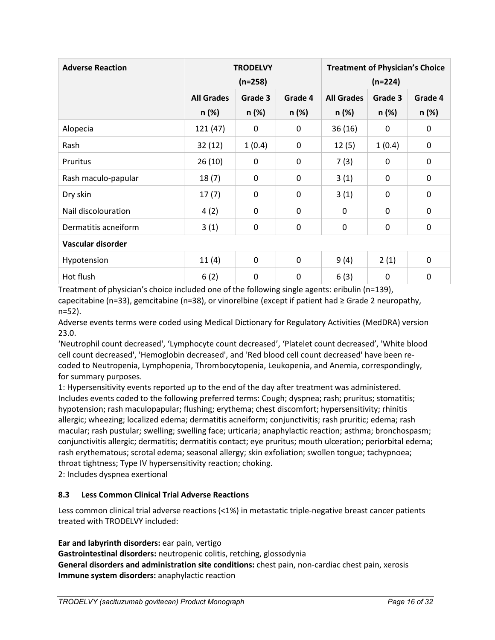| <b>Adverse Reaction</b> | <b>TRODELVY</b><br>$(n=258)$ |             |              | <b>Treatment of Physician's Choice</b><br>$(n=224)$ |             |             |
|-------------------------|------------------------------|-------------|--------------|-----------------------------------------------------|-------------|-------------|
|                         | <b>All Grades</b>            | Grade 3     | Grade 4      | <b>All Grades</b>                                   | Grade 3     | Grade 4     |
|                         | n (%)                        | n (%)       | n (%)        | n (%)                                               | n (%)       | n (%)       |
| Alopecia                | 121(47)                      | 0           | 0            | 36(16)                                              | 0           | 0           |
| Rash                    | 32(12)                       | 1(0.4)      | 0            | 12(5)                                               | 1(0.4)      | $\mathbf 0$ |
| Pruritus                | 26(10)                       | 0           | 0            | 7(3)                                                | 0           | $\mathbf 0$ |
| Rash maculo-papular     | 18(7)                        | $\mathbf 0$ | 0            | 3(1)                                                | 0           | 0           |
| Dry skin                | 17(7)                        | 0           | 0            | 3(1)                                                | 0           | 0           |
| Nail discolouration     | 4(2)                         | 0           | 0            | $\mathbf 0$                                         | 0           | 0           |
| Dermatitis acneiform    | 3(1)                         | 0           | 0            | 0                                                   | 0           | $\mathbf 0$ |
| Vascular disorder       |                              |             |              |                                                     |             |             |
| Hypotension             | 11(4)                        | 0           | $\mathbf{0}$ | 9(4)                                                | 2(1)        | 0           |
| Hot flush               | 6(2)                         | 0           | 0            | 6(3)                                                | $\mathbf 0$ | $\mathbf 0$ |

Treatment of physician's choice included one of the following single agents: eribulin (n=139), capecitabine (n=33), gemcitabine (n=38), or vinorelbine (except if patient had  $\geq$  Grade 2 neuropathy, n=52).

Adverse events terms were coded using Medical Dictionary for Regulatory Activities (MedDRA) version 23.0.

'Neutrophil count decreased', 'Lymphocyte count decreased', 'Platelet count decreased', 'White blood cell count decreased', 'Hemoglobin decreased', and 'Red blood cell count decreased' have been recoded to Neutropenia, Lymphopenia, Thrombocytopenia, Leukopenia, and Anemia, correspondingly, for summary purposes.

1: Hypersensitivity events reported up to the end of the day after treatment was administered. Includes events coded to the following preferred terms: Cough; dyspnea; rash; pruritus; stomatitis; hypotension; rash maculopapular; flushing; erythema; chest discomfort; hypersensitivity; rhinitis allergic; wheezing; localized edema; dermatitis acneiform; conjunctivitis; rash pruritic; edema; rash macular; rash pustular; swelling; swelling face; urticaria; anaphylactic reaction; asthma; bronchospasm; conjunctivitis allergic; dermatitis; dermatitis contact; eye pruritus; mouth ulceration; periorbital edema; rash erythematous; scrotal edema; seasonal allergy; skin exfoliation; swollen tongue; tachypnoea; throat tightness; Type IV hypersensitivity reaction; choking.

<span id="page-15-0"></span>2: Includes dyspnea exertional

### **8.3 Less Common Clinical Trial Adverse Reactions**

Less common clinical trial adverse reactions (<1%) in metastatic triple-negative breast cancer patients treated with TRODELVY included:

**Ear and labyrinth disorders:** ear pain, vertigo

**Gastrointestinal disorders:** neutropenic colitis, retching, glossodynia

**General disorders and administration site conditions:** chest pain, non-cardiac chest pain, xerosis **Immune system disorders:** anaphylactic reaction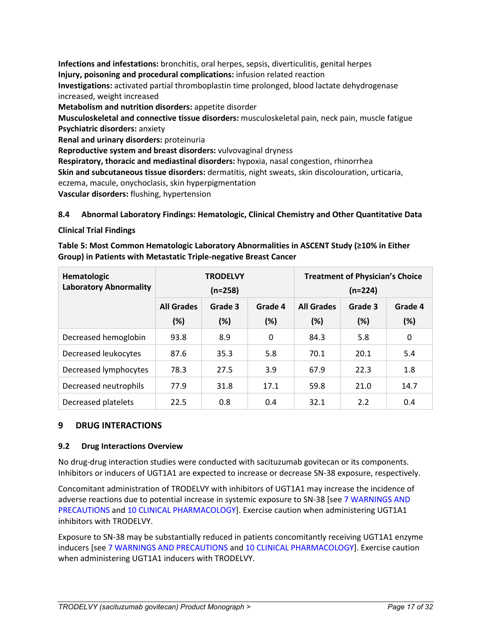**Infections and infestations:** bronchitis, oral herpes, sepsis, diverticulitis, genital herpes **Injury, poisoning and procedural complications:** infusion related reaction **Investigations:** activated partial thromboplastin time prolonged, blood lactate dehydrogenase increased, weight increased **Metabolism and nutrition disorders:** appetite disorder **Musculoskeletal and connective tissue disorders:** musculoskeletal pain, neck pain, muscle fatigue **Psychiatric disorders:** anxiety **Renal and urinary disorders:** proteinuria **Reproductive system and breast disorders:** vulvovaginal dryness **Respiratory, thoracic and mediastinal disorders:** hypoxia, nasal congestion, rhinorrhea **Skin and subcutaneous tissue disorders:** dermatitis, night sweats, skin discolouration, urticaria, eczema, macule, onychoclasis, skin hyperpigmentation **Vascular disorders:** flushing, hypertension

# <span id="page-16-0"></span>**8.4 Abnormal Laboratory Findings: Hematologic, Clinical Chemistry and Other Quantitative Data**

**Clinical Trial Findings**

| Table 5: Most Common Hematologic Laboratory Abnormalities in ASCENT Study (≥10% in Either |
|-------------------------------------------------------------------------------------------|
| Group) in Patients with Metastatic Triple-negative Breast Cancer                          |

| Hematologic<br><b>Laboratory Abnormality</b> |                          | <b>TRODELVY</b><br>$(n=258)$ |                |                          | <b>Treatment of Physician's Choice</b><br>$(n=224)$ |                |
|----------------------------------------------|--------------------------|------------------------------|----------------|--------------------------|-----------------------------------------------------|----------------|
|                                              | <b>All Grades</b><br>(%) | Grade 3<br>$(\%)$            | Grade 4<br>(%) | <b>All Grades</b><br>(%) | Grade 3<br>(%)                                      | Grade 4<br>(%) |
| Decreased hemoglobin                         | 93.8                     | 8.9                          | 0              | 84.3                     | 5.8                                                 | 0              |
| Decreased leukocytes                         | 87.6                     | 35.3                         | 5.8            | 70.1                     | 20.1                                                | 5.4            |
| Decreased lymphocytes                        | 78.3                     | 27.5                         | 3.9            | 67.9                     | 22.3                                                | 1.8            |
| Decreased neutrophils                        | 77.9                     | 31.8                         | 17.1           | 59.8                     | 21.0                                                | 14.7           |
| Decreased platelets                          | 22.5                     | 0.8                          | 0.4            | 32.1                     | 2.2                                                 | 0.4            |

### <span id="page-16-1"></span>**9 DRUG INTERACTIONS**

### <span id="page-16-2"></span>**9.2 Drug Interactions Overview**

No drug-drug interaction studies were conducted with sacituzumab govitecan or its components. Inhibitors or inducers of UGT1A1 are expected to increase or decrease SN-38 exposure, respectively.

Concomitant administration of TRODELVY with inhibitors of UGT1A1 may increase the incidence of adverse reactions due to potential increase in systemic exposure to SN-38 [see 7 WARNINGS AND PRECAUTIONS and 10 CLINICAL PHARMACOLOGY]. Exercise caution when administering UGT1A1 inhibitors with TRODELVY.

Exposure to SN-38 may be substantially reduced in patients concomitantly receiving UGT1A1 enzyme inducers [see 7 WARNINGS AND PRECAUTIONS and 10 CLINICAL PHARMACOLOGY]. Exercise caution when administering UGT1A1 inducers with TRODELVY.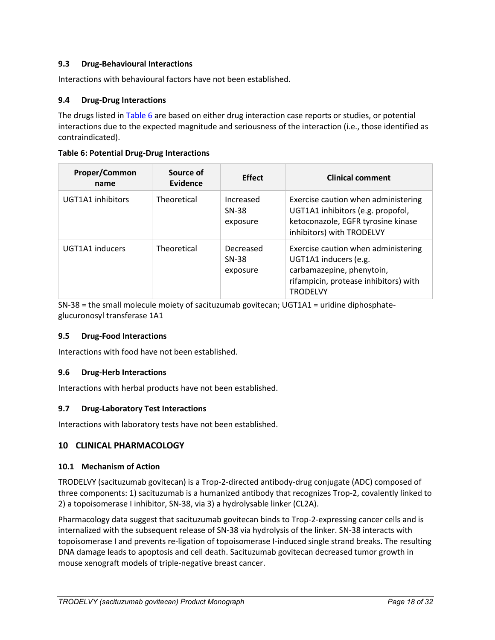### <span id="page-17-0"></span>**9.3 Drug-Behavioural Interactions**

Interactions with behavioural factors have not been established.

### <span id="page-17-1"></span>**9.4 Drug-Drug Interactions**

The drugs listed in [Table 6](#page-17-7) are based on either drug interaction case reports or studies, or potential interactions due to the expected magnitude and seriousness of the interaction (i.e., those identified as contraindicated).

| Proper/Common<br>name | Source of<br>Evidence | <b>Effect</b>                    | <b>Clinical comment</b>                                                                                                                               |
|-----------------------|-----------------------|----------------------------------|-------------------------------------------------------------------------------------------------------------------------------------------------------|
| UGT1A1 inhibitors     | Theoretical           | Increased<br>SN-38<br>exposure   | Exercise caution when administering<br>UGT1A1 inhibitors (e.g. propofol,<br>ketoconazole, EGFR tyrosine kinase<br>inhibitors) with TRODELVY           |
| UGT1A1 inducers       | Theoretical           | Decreased<br>$SN-38$<br>exposure | Exercise caution when administering<br>UGT1A1 inducers (e.g.<br>carbamazepine, phenytoin,<br>rifampicin, protease inhibitors) with<br><b>TRODELVY</b> |

#### <span id="page-17-7"></span>**Table 6: Potential Drug-Drug Interactions**

SN-38 = the small molecule moiety of sacituzumab govitecan; UGT1A1 = uridine diphosphateglucuronosyl transferase 1A1

#### <span id="page-17-2"></span>**9.5 Drug-Food Interactions**

Interactions with food have not been established.

### <span id="page-17-3"></span>**9.6 Drug-Herb Interactions**

Interactions with herbal products have not been established.

### <span id="page-17-4"></span>**9.7 Drug-Laboratory Test Interactions**

Interactions with laboratory tests have not been established.

### <span id="page-17-5"></span>**10 CLINICAL PHARMACOLOGY**

#### <span id="page-17-6"></span>**10.1 Mechanism of Action**

TRODELVY (sacituzumab govitecan) is a Trop-2-directed antibody-drug conjugate (ADC) composed of three components: 1) sacituzumab is a humanized antibody that recognizes Trop-2, covalently linked to 2) a topoisomerase I inhibitor, SN-38, via 3) a hydrolysable linker (CL2A).

Pharmacology data suggest that sacituzumab govitecan binds to Trop-2-expressing cancer cells and is internalized with the subsequent release of SN-38 via hydrolysis of the linker. SN-38 interacts with topoisomerase I and prevents re-ligation of topoisomerase I-induced single strand breaks. The resulting DNA damage leads to apoptosis and cell death. Sacituzumab govitecan decreased tumor growth in mouse xenograft models of triple-negative breast cancer.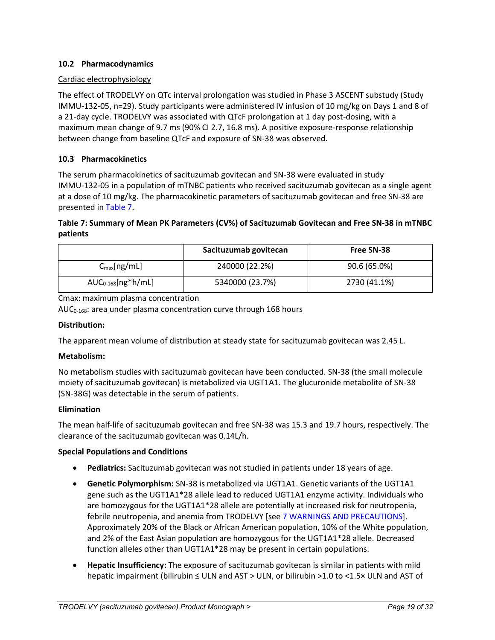### <span id="page-18-0"></span>**10.2 Pharmacodynamics**

### Cardiac electrophysiology

The effect of TRODELVY on QTc interval prolongation was studied in Phase 3 ASCENT substudy (Study IMMU-132-05, n=29). Study participants were administered IV infusion of 10 mg/kg on Days 1 and 8 of a 21-day cycle. TRODELVY was associated with QTcF prolongation at 1 day post-dosing, with a maximum mean change of 9.7 ms (90% CI 2.7, 16.8 ms). A positive exposure-response relationship between change from baseline QTcF and exposure of SN-38 was observed.

### <span id="page-18-1"></span>**10.3 Pharmacokinetics**

The serum pharmacokinetics of sacituzumab govitecan and SN-38 were evaluated in study IMMU-132-05 in a population of mTNBC patients who received sacituzumab govitecan as a single agent at a dose of 10 mg/kg. The pharmacokinetic parameters of sacituzumab govitecan and free SN-38 are presented in [Table 7.](#page-18-2)

### <span id="page-18-2"></span>**Table 7: Summary of Mean PK Parameters (CV%) of Sacituzumab Govitecan and Free SN-38 in mTNBC patients**

|                         | Sacituzumab govitecan | <b>Free SN-38</b> |
|-------------------------|-----------------------|-------------------|
| $C_{\text{max}}[ng/mL]$ | 240000 (22.2%)        | 90.6 (65.0%)      |
| $AUC_{0-168}[ng*h/mL]$  | 5340000 (23.7%)       | 2730 (41.1%)      |

Cmax: maximum plasma concentration

AUC<sub>0-168</sub>: area under plasma concentration curve through 168 hours

#### **Distribution:**

The apparent mean volume of distribution at steady state for sacituzumab govitecan was 2.45 L.

#### **Metabolism:**

No metabolism studies with sacituzumab govitecan have been conducted. SN-38 (the small molecule moiety of sacituzumab govitecan) is metabolized via UGT1A1. The glucuronide metabolite of SN-38 (SN-38G) was detectable in the serum of patients.

#### **Elimination**

The mean half-life of sacituzumab govitecan and free SN-38 was 15.3 and 19.7 hours, respectively. The clearance of the sacituzumab govitecan was 0.14L/h.

#### **Special Populations and Conditions**

- **Pediatrics:** Sacituzumab govitecan was not studied in patients under 18 years of age.
- **Genetic Polymorphism:** SN-38 is metabolized via UGT1A1. Genetic variants of the UGT1A1 gene such as the UGT1A1\*28 allele lead to reduced UGT1A1 enzyme activity. Individuals who are homozygous for the UGT1A1\*28 allele are potentially at increased risk for neutropenia, febrile neutropenia, and anemia from TRODELVY [see 7 WARNINGS AND PRECAUTIONS]. Approximately 20% of the Black or African American population, 10% of the White population, and 2% of the East Asian population are homozygous for the UGT1A1\*28 allele. Decreased function alleles other than UGT1A1\*28 may be present in certain populations.
- **Hepatic Insufficiency:** The exposure of sacituzumab govitecan is similar in patients with mild hepatic impairment (bilirubin ≤ ULN and AST > ULN, or bilirubin >1.0 to <1.5× ULN and AST of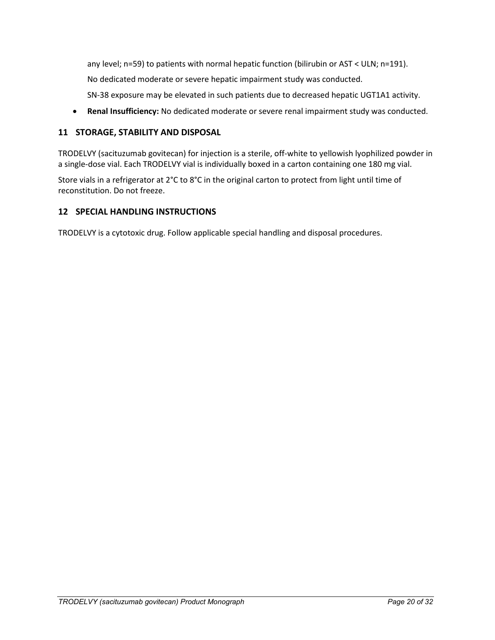any level; n=59) to patients with normal hepatic function (bilirubin or AST < ULN; n=191).

No dedicated moderate or severe hepatic impairment study was conducted.

SN-38 exposure may be elevated in such patients due to decreased hepatic UGT1A1 activity.

• **Renal Insufficiency:** No dedicated moderate or severe renal impairment study was conducted.

### <span id="page-19-0"></span>**11 STORAGE, STABILITY AND DISPOSAL**

TRODELVY (sacituzumab govitecan) for injection is a sterile, off-white to yellowish lyophilized powder in a single-dose vial. Each TRODELVY vial is individually boxed in a carton containing one 180 mg vial.

Store vials in a refrigerator at 2°C to 8°C in the original carton to protect from light until time of reconstitution. Do not freeze.

### <span id="page-19-1"></span>**12 SPECIAL HANDLING INSTRUCTIONS**

TRODELVY is a cytotoxic drug. Follow applicable special handling and disposal procedures.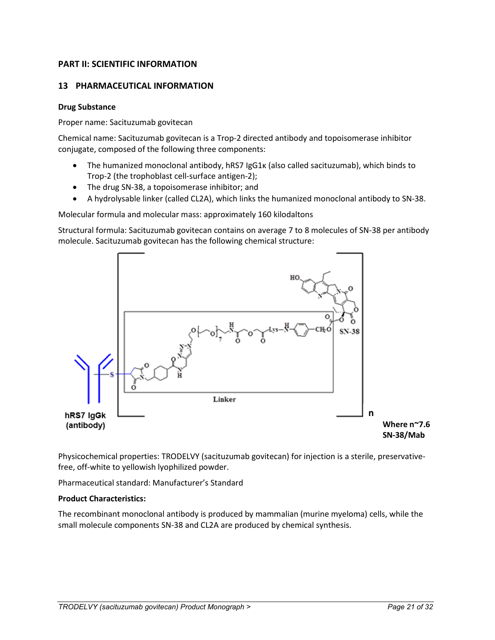## <span id="page-20-0"></span>**PART II: SCIENTIFIC INFORMATION**

### <span id="page-20-1"></span>**13 PHARMACEUTICAL INFORMATION**

#### **Drug Substance**

Proper name: Sacituzumab govitecan

Chemical name: Sacituzumab govitecan is a Trop-2 directed antibody and topoisomerase inhibitor conjugate, composed of the following three components:

- The humanized monoclonal antibody, hRS7 IgG1κ (also called sacituzumab), which binds to Trop-2 (the trophoblast cell-surface antigen-2);
- The drug SN-38, a topoisomerase inhibitor; and
- A hydrolysable linker (called CL2A), which links the humanized monoclonal antibody to SN-38.

Molecular formula and molecular mass: approximately 160 kilodaltons

Structural formula: Sacituzumab govitecan contains on average 7 to 8 molecules of SN-38 per antibody molecule. Sacituzumab govitecan has the following chemical structure:



Physicochemical properties: TRODELVY (sacituzumab govitecan) for injection is a sterile, preservativefree, off-white to yellowish lyophilized powder.

Pharmaceutical standard: Manufacturer's Standard

#### **Product Characteristics:**

The recombinant monoclonal antibody is produced by mammalian (murine myeloma) cells, while the small molecule components SN-38 and CL2A are produced by chemical synthesis.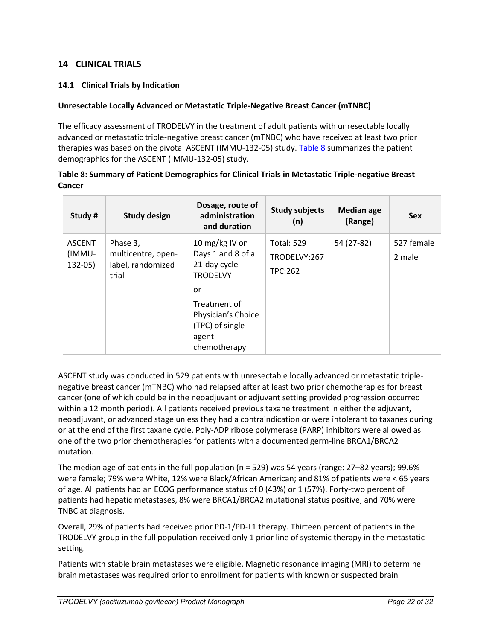### <span id="page-21-0"></span>**14 CLINICAL TRIALS**

### <span id="page-21-1"></span>**14.1 Clinical Trials by Indication**

#### <span id="page-21-2"></span>**Unresectable Locally Advanced or Metastatic Triple-Negative Breast Cancer (mTNBC)**

The efficacy assessment of TRODELVY in the treatment of adult patients with unresectable locally advanced or metastatic triple-negative breast cancer (mTNBC) who have received at least two prior therapies was based on the pivotal ASCENT (IMMU-132-05) study. [Table 8](#page-21-3) summarizes the patient demographics for the ASCENT (IMMU-132-05) study.

### <span id="page-21-3"></span>**Table 8: Summary of Patient Demographics for Clinical Trials in Metastatic Triple-negative Breast Cancer**

| Study #                             | <b>Study design</b>                                          | Dosage, route of<br>administration<br>and duration                                                                                                             | <b>Study subjects</b><br>(n)                 | <b>Median age</b><br>(Range) | <b>Sex</b>           |
|-------------------------------------|--------------------------------------------------------------|----------------------------------------------------------------------------------------------------------------------------------------------------------------|----------------------------------------------|------------------------------|----------------------|
| <b>ASCENT</b><br>(IMMU-<br>$132-05$ | Phase 3,<br>multicentre, open-<br>label, randomized<br>trial | 10 mg/kg IV on<br>Days 1 and 8 of a<br>21-day cycle<br><b>TRODELVY</b><br>or<br>Treatment of<br>Physician's Choice<br>(TPC) of single<br>agent<br>chemotherapy | <b>Total: 529</b><br>TRODELVY:267<br>TPC:262 | 54 (27-82)                   | 527 female<br>2 male |

ASCENT study was conducted in 529 patients with unresectable locally advanced or metastatic triplenegative breast cancer (mTNBC) who had relapsed after at least two prior chemotherapies for breast cancer (one of which could be in the neoadjuvant or adjuvant setting provided progression occurred within a 12 month period). All patients received previous taxane treatment in either the adjuvant, neoadjuvant, or advanced stage unless they had a contraindication or were intolerant to taxanes during or at the end of the first taxane cycle. Poly-ADP ribose polymerase (PARP) inhibitors were allowed as one of the two prior chemotherapies for patients with a documented germ-line BRCA1/BRCA2 mutation.

The median age of patients in the full population (n = 529) was 54 years (range: 27–82 years); 99.6% were female; 79% were White, 12% were Black/African American; and 81% of patients were < 65 years of age. All patients had an ECOG performance status of 0 (43%) or 1 (57%). Forty-two percent of patients had hepatic metastases, 8% were BRCA1/BRCA2 mutational status positive, and 70% were TNBC at diagnosis.

Overall, 29% of patients had received prior PD-1/PD-L1 therapy. Thirteen percent of patients in the TRODELVY group in the full population received only 1 prior line of systemic therapy in the metastatic setting.

Patients with stable brain metastases were eligible. Magnetic resonance imaging (MRI) to determine brain metastases was required prior to enrollment for patients with known or suspected brain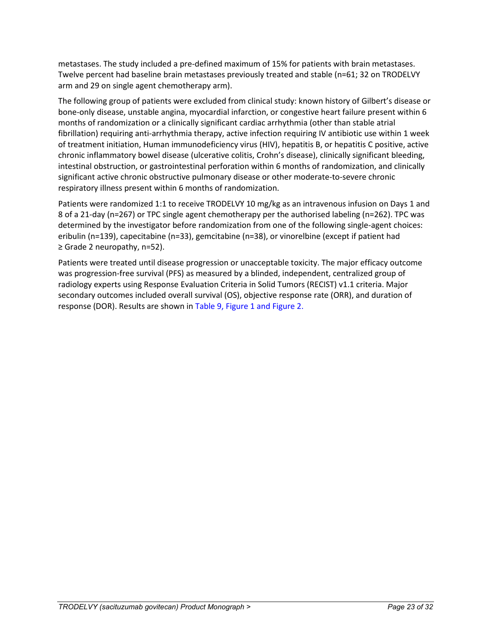metastases. The study included a pre-defined maximum of 15% for patients with brain metastases. Twelve percent had baseline brain metastases previously treated and stable (n=61; 32 on TRODELVY arm and 29 on single agent chemotherapy arm).

The following group of patients were excluded from clinical study: known history of Gilbert's disease or bone-only disease, unstable angina, myocardial infarction, or congestive heart failure present within 6 months of randomization or a clinically significant cardiac arrhythmia (other than stable atrial fibrillation) requiring anti-arrhythmia therapy, active infection requiring IV antibiotic use within 1 week of treatment initiation, Human immunodeficiency virus (HIV), hepatitis B, or hepatitis C positive, active chronic inflammatory bowel disease (ulcerative colitis, Crohn's disease), clinically significant bleeding, intestinal obstruction, or gastrointestinal perforation within 6 months of randomization, and clinically significant active chronic obstructive pulmonary disease or other moderate-to-severe chronic respiratory illness present within 6 months of randomization.

Patients were randomized 1:1 to receive TRODELVY 10 mg/kg as an intravenous infusion on Days 1 and 8 of a 21-day (n=267) or TPC single agent chemotherapy per the authorised labeling (n=262). TPC was determined by the investigator before randomization from one of the following single-agent choices: eribulin (n=139), capecitabine (n=33), gemcitabine (n=38), or vinorelbine (except if patient had ≥ Grade 2 neuropathy, n=52).

Patients were treated until disease progression or unacceptable toxicity. The major efficacy outcome was progression-free survival (PFS) as measured by a blinded, independent, centralized group of radiology experts using Response Evaluation Criteria in Solid Tumors (RECIST) v1.1 criteria. Major secondary outcomes included overall survival (OS), objective response rate (ORR), and duration of response (DOR). Results are shown in [Table 9,](#page-23-0) [Figure 1](#page-24-0) and [Figure 2.](#page-24-1)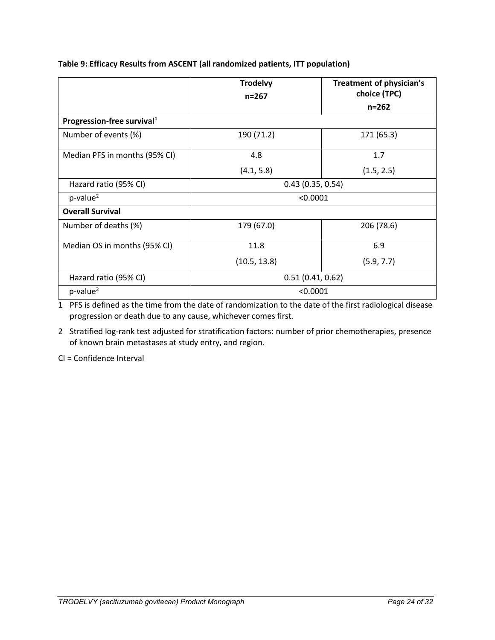|                                        | <b>Trodelvy</b><br>$n = 267$ | <b>Treatment of physician's</b><br>choice (TPC) |  |
|----------------------------------------|------------------------------|-------------------------------------------------|--|
|                                        |                              | $n = 262$                                       |  |
| Progression-free survival <sup>1</sup> |                              |                                                 |  |
| Number of events (%)                   | 190 (71.2)                   | 171 (65.3)                                      |  |
| Median PFS in months (95% CI)          | 4.8                          | 1.7                                             |  |
|                                        | (4.1, 5.8)                   | (1.5, 2.5)                                      |  |
| Hazard ratio (95% CI)                  | 0.43(0.35, 0.54)             |                                                 |  |
| $p$ -value <sup>2</sup>                | < 0.0001                     |                                                 |  |
| <b>Overall Survival</b>                |                              |                                                 |  |
| Number of deaths (%)                   | 179 (67.0)                   | 206 (78.6)                                      |  |
| Median OS in months (95% CI)           | 11.8                         | 6.9                                             |  |
|                                        | (10.5, 13.8)                 | (5.9, 7.7)                                      |  |
| Hazard ratio (95% CI)                  | 0.51(0.41, 0.62)             |                                                 |  |
| $p$ -value <sup>2</sup>                | < 0.0001                     |                                                 |  |

## <span id="page-23-0"></span>**Table 9: Efficacy Results from ASCENT (all randomized patients, ITT population)**

1 PFS is defined as the time from the date of randomization to the date of the first radiological disease progression or death due to any cause, whichever comes first.

2 Stratified log-rank test adjusted for stratification factors: number of prior chemotherapies, presence of known brain metastases at study entry, and region.

CI = Confidence Interval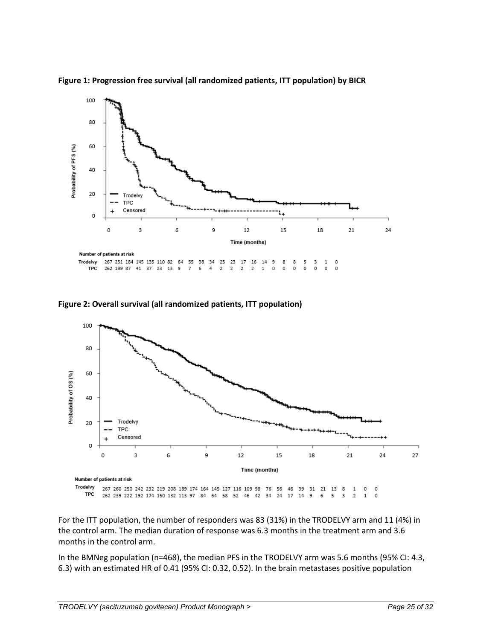

<span id="page-24-0"></span>**Figure 1: Progression free survival (all randomized patients, ITT population) by BICR**

<span id="page-24-1"></span>



For the ITT population, the number of responders was 83 (31%) in the TRODELVY arm and 11 (4%) in the control arm. The median duration of response was 6.3 months in the treatment arm and 3.6 months in the control arm.

In the BMNeg population (n=468), the median PFS in the TRODELVY arm was 5.6 months (95% CI: 4.3, 6.3) with an estimated HR of 0.41 (95% CI: 0.32, 0.52). In the brain metastases positive population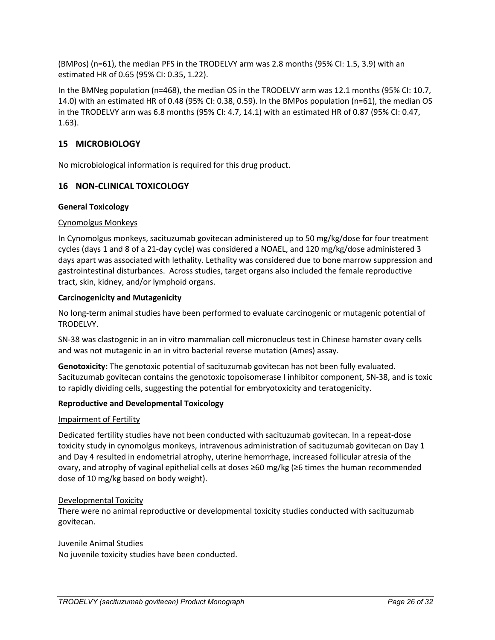(BMPos) (n=61), the median PFS in the TRODELVY arm was 2.8 months (95% CI: 1.5, 3.9) with an estimated HR of 0.65 (95% CI: 0.35, 1.22).

In the BMNeg population (n=468), the median OS in the TRODELVY arm was 12.1 months (95% CI: 10.7, 14.0) with an estimated HR of 0.48 (95% CI: 0.38, 0.59). In the BMPos population (n=61), the median OS in the TRODELVY arm was 6.8 months (95% CI: 4.7, 14.1) with an estimated HR of 0.87 (95% CI: 0.47, 1.63).

# <span id="page-25-0"></span>**15 MICROBIOLOGY**

No microbiological information is required for this drug product.

### <span id="page-25-1"></span>**16 NON-CLINICAL TOXICOLOGY**

### **General Toxicology**

#### Cynomolgus Monkeys

In Cynomolgus monkeys, sacituzumab govitecan administered up to 50 mg/kg/dose for four treatment cycles (days 1 and 8 of a 21-day cycle) was considered a NOAEL, and 120 mg/kg/dose administered 3 days apart was associated with lethality. Lethality was considered due to bone marrow suppression and gastrointestinal disturbances. Across studies, target organs also included the female reproductive tract, skin, kidney, and/or lymphoid organs.

#### **Carcinogenicity and Mutagenicity**

No long-term animal studies have been performed to evaluate carcinogenic or mutagenic potential of TRODELVY.

SN-38 was clastogenic in an in vitro mammalian cell micronucleus test in Chinese hamster ovary cells and was not mutagenic in an in vitro bacterial reverse mutation (Ames) assay.

**Genotoxicity:** The genotoxic potential of sacituzumab govitecan has not been fully evaluated. Sacituzumab govitecan contains the genotoxic topoisomerase I inhibitor component, SN-38, and is toxic to rapidly dividing cells, suggesting the potential for embryotoxicity and teratogenicity.

#### **Reproductive and Developmental Toxicology**

#### Impairment of Fertility

Dedicated fertility studies have not been conducted with sacituzumab govitecan. In a repeat-dose toxicity study in cynomolgus monkeys, intravenous administration of sacituzumab govitecan on Day 1 and Day 4 resulted in endometrial atrophy, uterine hemorrhage, increased follicular atresia of the ovary, and atrophy of vaginal epithelial cells at doses ≥60 mg/kg (≥6 times the human recommended dose of 10 mg/kg based on body weight).

#### Developmental Toxicity

There were no animal reproductive or developmental toxicity studies conducted with sacituzumab govitecan.

#### Juvenile Animal Studies No juvenile toxicity studies have been conducted.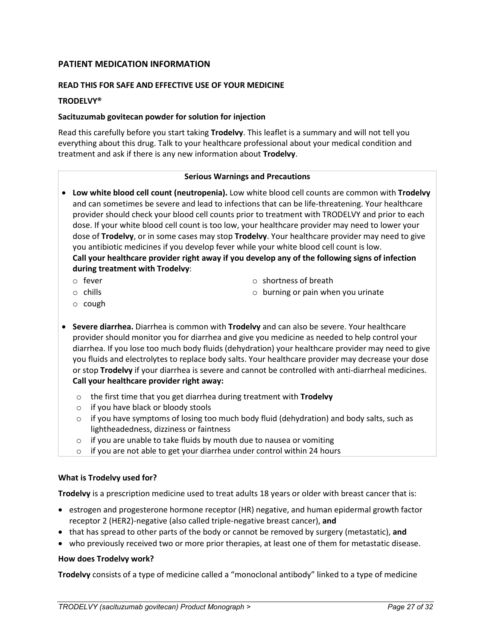### <span id="page-26-0"></span>**PATIENT MEDICATION INFORMATION**

#### **READ THIS FOR SAFE AND EFFECTIVE USE OF YOUR MEDICINE**

#### **TRODELVY®**

#### **Sacituzumab govitecan powder for solution for injection**

Read this carefully before you start taking **Trodelvy**. This leaflet is a summary and will not tell you everything about this drug. Talk to your healthcare professional about your medical condition and treatment and ask if there is any new information about **Trodelvy**.

#### **Serious Warnings and Precautions**

- **Low white blood cell count (neutropenia).** Low white blood cell counts are common with **Trodelvy** and can sometimes be severe and lead to infections that can be life-threatening. Your healthcare provider should check your blood cell counts prior to treatment with TRODELVY and prior to each dose. If your white blood cell count is too low, your healthcare provider may need to lower your dose of **Trodelvy**, or in some cases may stop **Trodelvy**. Your healthcare provider may need to give you antibiotic medicines if you develop fever while your white blood cell count is low. **Call your healthcare provider right away if you develop any of the following signs of infection during treatment with Trodelvy**:
	- o fever

o shortness of breath

o chills

o burning or pain when you urinate

- o cough
- **Severe diarrhea.** Diarrhea is common with **Trodelvy** and can also be severe. Your healthcare provider should monitor you for diarrhea and give you medicine as needed to help control your diarrhea. If you lose too much body fluids (dehydration) your healthcare provider may need to give you fluids and electrolytes to replace body salts. Your healthcare provider may decrease your dose or stop **Trodelvy** if your diarrhea is severe and cannot be controlled with anti-diarrheal medicines. **Call your healthcare provider right away:**
	- o the first time that you get diarrhea during treatment with **Trodelvy**
	- o if you have black or bloody stools
	- $\circ$  if you have symptoms of losing too much body fluid (dehydration) and body salts, such as lightheadedness, dizziness or faintness
	- o if you are unable to take fluids by mouth due to nausea or vomiting
	- o if you are not able to get your diarrhea under control within 24 hours

#### **What is Trodelvy used for?**

**Trodelvy** is a prescription medicine used to treat adults 18 years or older with breast cancer that is:

- estrogen and progesterone hormone receptor (HR) negative, and human epidermal growth factor receptor 2 (HER2)-negative (also called triple-negative breast cancer), **and**
- that has spread to other parts of the body or cannot be removed by surgery (metastatic), **and**
- who previously received two or more prior therapies, at least one of them for metastatic disease.

#### **How does Trodelvy work?**

**Trodelvy** consists of a type of medicine called a "monoclonal antibody" linked to a type of medicine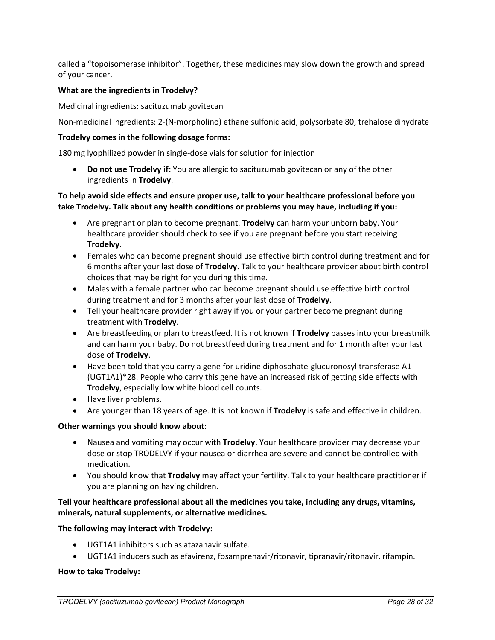called a "topoisomerase inhibitor". Together, these medicines may slow down the growth and spread of your cancer.

#### **What are the ingredients in Trodelvy?**

Medicinal ingredients: sacituzumab govitecan

Non-medicinal ingredients: 2-(N-morpholino) ethane sulfonic acid, polysorbate 80, trehalose dihydrate

#### **Trodelvy comes in the following dosage forms:**

180 mg lyophilized powder in single-dose vials for solution for injection

• **Do not use Trodelvy if:** You are allergic to sacituzumab govitecan or any of the other ingredients in **Trodelvy**.

#### **To help avoid side effects and ensure proper use, talk to your healthcare professional before you take Trodelvy. Talk about any health conditions or problems you may have, including if you:**

- Are pregnant or plan to become pregnant. **Trodelvy** can harm your unborn baby. Your healthcare provider should check to see if you are pregnant before you start receiving **Trodelvy**.
- Females who can become pregnant should use effective birth control during treatment and for 6 months after your last dose of **Trodelvy**. Talk to your healthcare provider about birth control choices that may be right for you during this time.
- Males with a female partner who can become pregnant should use effective birth control during treatment and for 3 months after your last dose of **Trodelvy**.
- Tell your healthcare provider right away if you or your partner become pregnant during treatment with **Trodelvy**.
- Are breastfeeding or plan to breastfeed. It is not known if **Trodelvy** passes into your breastmilk and can harm your baby. Do not breastfeed during treatment and for 1 month after your last dose of **Trodelvy**.
- Have been told that you carry a gene for uridine diphosphate-glucuronosyl transferase A1 (UGT1A1)\*28. People who carry this gene have an increased risk of getting side effects with **Trodelvy**, especially low white blood cell counts.
- Have liver problems.
- Are younger than 18 years of age. It is not known if **Trodelvy** is safe and effective in children.

#### **Other warnings you should know about:**

- Nausea and vomiting may occur with **Trodelvy**. Your healthcare provider may decrease your dose or stop TRODELVY if your nausea or diarrhea are severe and cannot be controlled with medication.
- You should know that **Trodelvy** may affect your fertility. Talk to your healthcare practitioner if you are planning on having children.

### **Tell your healthcare professional about all the medicines you take, including any drugs, vitamins, minerals, natural supplements, or alternative medicines.**

#### **The following may interact with Trodelvy:**

- UGT1A1 inhibitors such as atazanavir sulfate.
- UGT1A1 inducers such as efavirenz, fosamprenavir/ritonavir, tipranavir/ritonavir, rifampin.

#### **How to take Trodelvy:**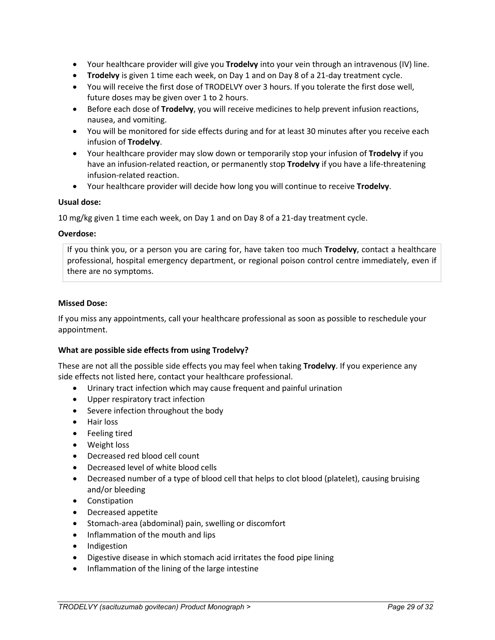- Your healthcare provider will give you **Trodelvy** into your vein through an intravenous (IV) line.
- **Trodelvy** is given 1 time each week, on Day 1 and on Day 8 of a 21-day treatment cycle.
- You will receive the first dose of TRODELVY over 3 hours. If you tolerate the first dose well, future doses may be given over 1 to 2 hours.
- Before each dose of **Trodelvy**, you will receive medicines to help prevent infusion reactions, nausea, and vomiting.
- You will be monitored for side effects during and for at least 30 minutes after you receive each infusion of **Trodelvy**.
- Your healthcare provider may slow down or temporarily stop your infusion of **Trodelvy** if you have an infusion-related reaction, or permanently stop **Trodelvy** if you have a life-threatening infusion-related reaction.
- Your healthcare provider will decide how long you will continue to receive **Trodelvy**.

#### **Usual dose:**

10 mg/kg given 1 time each week, on Day 1 and on Day 8 of a 21-day treatment cycle.

### **Overdose:**

If you think you, or a person you are caring for, have taken too much **Trodelvy**, contact a healthcare professional, hospital emergency department, or regional poison control centre immediately, even if there are no symptoms.

#### **Missed Dose:**

If you miss any appointments, call your healthcare professional as soon as possible to reschedule your appointment.

#### **What are possible side effects from using Trodelvy?**

These are not all the possible side effects you may feel when taking **Trodelvy**. If you experience any side effects not listed here, contact your healthcare professional.

- Urinary tract infection which may cause frequent and painful urination
- Upper respiratory tract infection
- Severe infection throughout the body
- Hair loss
- Feeling tired
- Weight loss
- Decreased red blood cell count
- Decreased level of white blood cells
- Decreased number of a type of blood cell that helps to clot blood (platelet), causing bruising and/or bleeding
- Constipation
- Decreased appetite
- Stomach-area (abdominal) pain, swelling or discomfort
- Inflammation of the mouth and lips
- Indigestion
- Digestive disease in which stomach acid irritates the food pipe lining
- Inflammation of the lining of the large intestine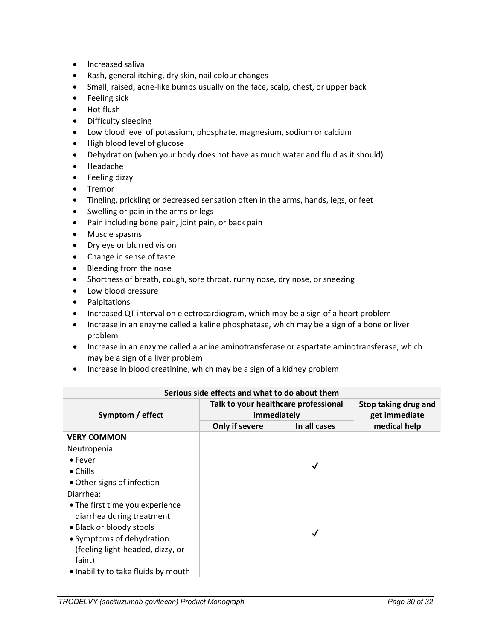- Increased saliva
- Rash, general itching, dry skin, nail colour changes
- Small, raised, acne-like bumps usually on the face, scalp, chest, or upper back
- Feeling sick
- Hot flush
- Difficulty sleeping
- Low blood level of potassium, phosphate, magnesium, sodium or calcium
- High blood level of glucose
- Dehydration (when your body does not have as much water and fluid as it should)
- Headache
- Feeling dizzy
- Tremor
- Tingling, prickling or decreased sensation often in the arms, hands, legs, or feet
- Swelling or pain in the arms or legs
- Pain including bone pain, joint pain, or back pain
- Muscle spasms
- Dry eye or blurred vision
- Change in sense of taste
- Bleeding from the nose
- Shortness of breath, cough, sore throat, runny nose, dry nose, or sneezing
- Low blood pressure
- Palpitations
- Increased QT interval on electrocardiogram, which may be a sign of a heart problem
- Increase in an enzyme called alkaline phosphatase, which may be a sign of a bone or liver problem
- Increase in an enzyme called alanine aminotransferase or aspartate aminotransferase, which may be a sign of a liver problem
- Increase in blood creatinine, which may be a sign of a kidney problem

| Serious side effects and what to do about them |                                                     |              |                                       |  |
|------------------------------------------------|-----------------------------------------------------|--------------|---------------------------------------|--|
| Symptom / effect                               | Talk to your healthcare professional<br>immediately |              | Stop taking drug and<br>get immediate |  |
|                                                | Only if severe                                      | In all cases |                                       |  |
| <b>VERY COMMON</b>                             |                                                     |              |                                       |  |
| Neutropenia:                                   |                                                     |              |                                       |  |
| $\bullet$ Fever                                |                                                     |              |                                       |  |
| $\bullet$ Chills                               |                                                     |              |                                       |  |
| • Other signs of infection                     |                                                     |              |                                       |  |
| Diarrhea:                                      |                                                     |              |                                       |  |
| • The first time you experience                |                                                     |              |                                       |  |
| diarrhea during treatment                      |                                                     |              |                                       |  |
| • Black or bloody stools                       |                                                     |              |                                       |  |
| • Symptoms of dehydration                      |                                                     |              |                                       |  |
| (feeling light-headed, dizzy, or               |                                                     |              |                                       |  |
| faint)                                         |                                                     |              |                                       |  |
| • Inability to take fluids by mouth            |                                                     |              |                                       |  |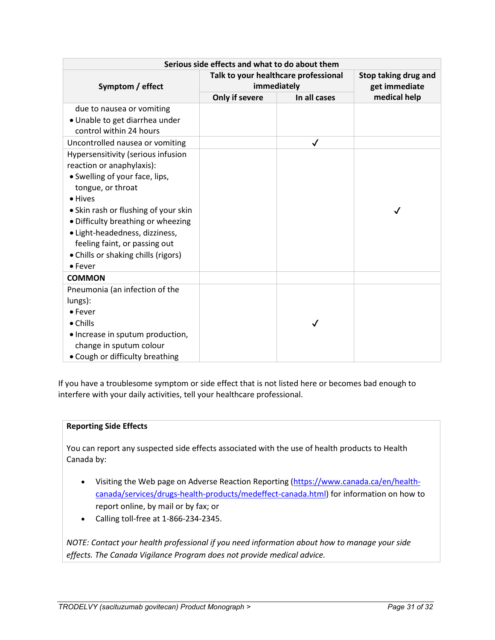| Serious side effects and what to do about them |                                                     |   |                                       |  |
|------------------------------------------------|-----------------------------------------------------|---|---------------------------------------|--|
| Symptom / effect                               | Talk to your healthcare professional<br>immediately |   | Stop taking drug and<br>get immediate |  |
|                                                | Only if severe<br>In all cases                      |   | medical help                          |  |
| due to nausea or vomiting                      |                                                     |   |                                       |  |
| · Unable to get diarrhea under                 |                                                     |   |                                       |  |
| control within 24 hours                        |                                                     |   |                                       |  |
| Uncontrolled nausea or vomiting                |                                                     | ✓ |                                       |  |
| Hypersensitivity (serious infusion             |                                                     |   |                                       |  |
| reaction or anaphylaxis):                      |                                                     |   |                                       |  |
| • Swelling of your face, lips,                 |                                                     |   |                                       |  |
| tongue, or throat                              |                                                     |   |                                       |  |
| • Hives                                        |                                                     |   |                                       |  |
| • Skin rash or flushing of your skin           |                                                     |   | ✓                                     |  |
| • Difficulty breathing or wheezing             |                                                     |   |                                       |  |
| · Light-headedness, dizziness,                 |                                                     |   |                                       |  |
| feeling faint, or passing out                  |                                                     |   |                                       |  |
| • Chills or shaking chills (rigors)            |                                                     |   |                                       |  |
| $\bullet$ Fever                                |                                                     |   |                                       |  |
| <b>COMMON</b>                                  |                                                     |   |                                       |  |
| Pneumonia (an infection of the                 |                                                     |   |                                       |  |
| lungs):                                        |                                                     |   |                                       |  |
| $\bullet$ Fever                                |                                                     |   |                                       |  |
| $\bullet$ Chills                               |                                                     | √ |                                       |  |
| • Increase in sputum production,               |                                                     |   |                                       |  |
| change in sputum colour                        |                                                     |   |                                       |  |
| • Cough or difficulty breathing                |                                                     |   |                                       |  |

If you have a troublesome symptom or side effect that is not listed here or becomes bad enough to interfere with your daily activities, tell your healthcare professional.

#### **Reporting Side Effects**

You can report any suspected side effects associated with the use of health products to Health Canada by:

- Visiting the Web page on Adverse Reaction Reporting [\(https://www.canada.ca/en/health](https://www.canada.ca/en/health-canada/services/drugs-health-products/medeffect-canada.html)[canada/services/drugs-health-products/medeffect-canada.html\)](https://www.canada.ca/en/health-canada/services/drugs-health-products/medeffect-canada.html) for information on how to report online, by mail or by fax; or
- Calling toll-free at 1-866-234-2345.

*NOTE: Contact your health professional if you need information about how to manage your side effects. The Canada Vigilance Program does not provide medical advice.*